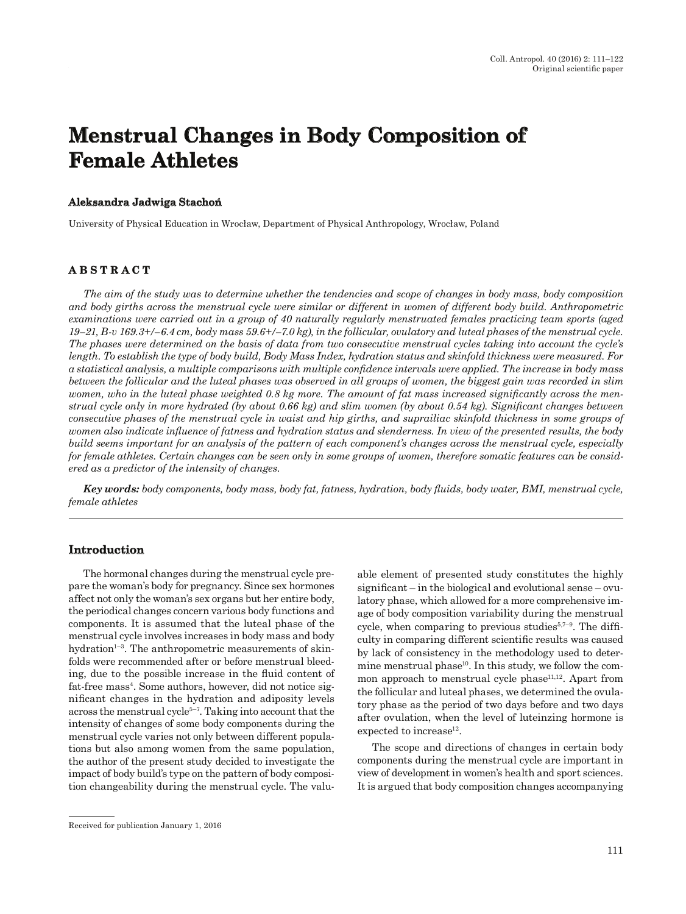# **Menstrual Changes in Body Composition of emale Aleksandra Jadwiga Stacho leksandra <sup>ń</sup>**

University of Physical Education in Wrocław, Department of Physical Anthropology, Wrocław, Poland

#### **ABSTRACT B S T R A C T**

The aim of the study was to determine whether the tendencies and scope of changes in body mass, body composition<br>and body girths across the menstrual cycle were similar or different in women of different body build. Anthr strual cycle only in more hydrated (by about 0.66 kg) and slim women (by about 0.54 kg). Significant changes between<br>consecutive phases of the menstrual cycle in waist and hip girths, and suprailiac skinfold thickness in s *ered as a predictor of the intensity of changes.*

*Key words: body components, body mass, body fat, fatness, hydration, body fluids, body water, BMI, menstrual cycle, female athletes* 

#### **Introduction ntroduction**

The hormonal changes during the menstrual cycle prepare the woman's body for pregnancy. Since sex hormones affect not only the woman's sex organs but her entire body, the periodical changes concern various body functions and components. It is assumed that the luteal phase of the menstrual cycle involves increases in body mass and body hydration $1-3$ . The anthropometric measurements of skinfolds were recommended after or before menstrual bleeding, due to the possible increase in the fluid content of fat-free mass<sup>4</sup>. Some authors, however, did not notice significant changes in the hydration and adiposity levels across the menstrual cycle5–7. Taking into account that the intensity of changes of some body components during the menstrual cycle varies not only between different populations but also among women from the same population, the author of the present study decided to investigate the impact of body build's type on the pattern of body composition changeability during the menstrual cycle. The valuable element of presented study constitutes the highly significant – in the biological and evolutional sense – ovulatory phase, which allowed for a more comprehensive im age of body composition variability during the menstrual cycle, when comparing to previous studies $5.7-9$ . The difficulty in comparing different scientific results was caused by lack of consistency in the methodology used to determine menstrual phase<sup>10</sup>. In this study, we follow the common approach to menstrual cycle phase<sup>11,12</sup>. Apart from the follicular and luteal phases, we determined the ovulatory phase as the period of two days before and two days after ovulation, when the level of luteinzing hormone is expected to increase<sup>12</sup>.

The scope and directions of changes in certain body components during the menstrual cycle are important in view of development in women's health and sport sciences. It is argued that body composition changes accompanying

Received for publication January 1, 2016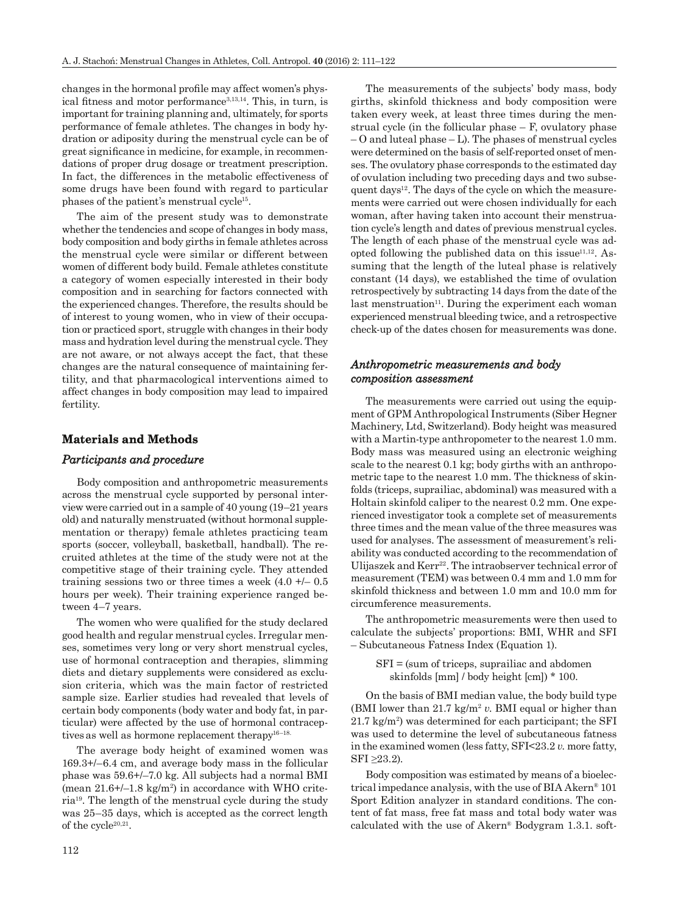changes in the hormonal profile may affect women's physical fitness and motor performance<sup>3,13,14</sup>. This, in turn, is important for training planning and, ultimately, for sports performance of female athletes. The changes in body hydration or adiposity during the menstrual cycle can be of great significance in medicine, for example, in recommendations of proper drug dosage or treatment prescription. In fact, the differences in the metabolic effectiveness of some drugs have been found with regard to particular phases of the patient's menstrual cycle15.

The aim of the present study was to demonstrate whether the tendencies and scope of changes in body mass, body composition and body girths in female athletes across the menstrual cycle were similar or different between women of different body build. Female athletes constitute a category of women especially interested in their body composition and in searching for factors connected with the experienced changes. Therefore, the results should be of interest to young women, who in view of their occupation or practiced sport, struggle with changes in their body mass and hydration level during the menstrual cycle. They are not aware, or not always accept the fact, that these changes are the natural consequence of maintaining fertility, and that pharmacological interventions aimed to affect changes in body composition may lead to impaired fertility.

#### **Materials and Methods aterials and Methods**

#### *Participants and procedure articip a nts a n d proced ure*

Body composition and anthropometric measurements across the menstrual cycle supported by personal interview were carried out in a sample of 40 young (19–21 years old) and naturally menstruated (without hormonal supplementation or therapy) female athletes practicing team sports (soccer, volleyball, basketball, handball). The recruited athletes at the time of the study were not at the competitive stage of their training cycle. They attended training sessions two or three times a week  $(4.0 +1 - 0.5)$ hours per week). Their training experience ranged between 4–7 years.

The women who were qualified for the study declared good health and regular menstrual cycles. Irregular menses, sometimes very long or very short menstrual cycles, use of hormonal contraception and therapies, slimming diets and dietary supplements were considered as exclusion criteria, which was the main factor of restricted sample size. Earlier studies had revealed that levels of certain body components (body water and body fat, in particular) were affected by the use of hormonal contraceptives as well as hormone replacement therapy<sup>16–18.</sup>

The average body height of examined women was 169.3+/–6.4 cm, and average body mass in the follicular phase was 59.6+/–7.0 kg. All subjects had a normal BMI (mean  $21.6 + / -1.8$  kg/m<sup>2</sup>) in accordance with WHO criteria19. The length of the menstrual cycle during the study was 25–35 days, which is accepted as the correct length of the cycle<sup>20,21</sup>.

The measurements of the subjects' body mass, body girths, skinfold thickness and body composition were taken every week, at least three times during the menstrual cycle (in the follicular phase  $-F$ , ovulatory phase  $-$  O and luteal phase  $-$  L). The phases of menstrual cycles were determined on the basis of self-reported onset of menses. The ovulatory phase corresponds to the estimated day of ovulation including two preceding days and two subsequent days<sup>12</sup>. The days of the cycle on which the measurements were carried out were chosen individually for each woman, after having taken into account their menstruation cycle's length and dates of previous menstrual cycles. The length of each phase of the menstrual cycle was adopted following the published data on this issue $11,12$ . Assuming that the length of the luteal phase is relatively constant (14 days), we established the time of ovulation retrospectively by subtracting 14 days from the date of the last menstruation $11$ . During the experiment each woman experienced menstrual bleeding twice, and a retrospective check-up of the dates chosen for measurements was done.

#### *Anthropometric measurements and body nthrop o metric a n d b o dy composition assessment <sup>o</sup> mp ositio n*

The measurements were carried out using the equipment of GPM Anthropological Instruments (Siber Hegner Machinery, Ltd, Switzerland). Body height was measured with a Martin-type anthropometer to the nearest 1.0 mm. Body mass was measured using an electronic weighing scale to the nearest 0.1 kg; body girths with an anthropometric tape to the nearest 1.0 mm. The thickness of skinfolds (triceps, suprailiac, abdominal) was measured with a Holtain skinfold caliper to the nearest 0.2 mm. One experienced investigator took a complete set of measurements three times and the mean value of the three measures was used for analyses. The assessment of measurement's reliability was conducted according to the recommendation of Ulijaszek and Kerr<sup>22</sup>. The intraobserver technical error of measurement (TEM) was between 0.4 mm and 1.0 mm for skinfold thickness and between 1.0 mm and 10.0 mm for circumference measurements.

The anthropometric measurements were then used to calculate the subjects' proportions: BMI, WHR and SFI – Subcutaneous Fatness Index (Equation 1).

SFI = (sum of triceps, suprailiac and abdomen skinfolds [mm] / body height [cm]) \* 100.

On the basis of BMI median value, the body build type (BMI lower than  $21.7 \text{ kg/m}^2 v$ . BMI equal or higher than  $21.7 \text{ kg/m}^2$  was determined for each participant; the SFI was used to determine the level of subcutaneous fatness in the examined women (less fatty, SFI<23.2 *v.* more fatty, SFI ≥23.2).

Body composition was estimated by means of a bioelectrical impedance analysis, with the use of BIA Akern® 101 Sport Edition analyzer in standard conditions. The content of fat mass, free fat mass and total body water was calculated with the use of Akern® Bodygram 1.3.1. soft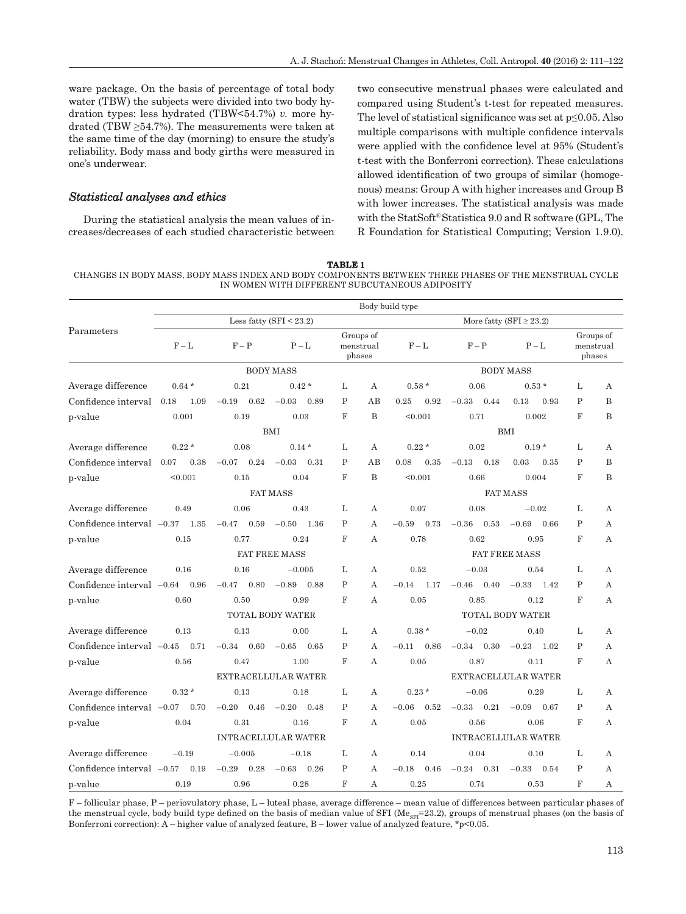ware package. On the basis of percentage of total body water (TBW) the subjects were divided into two body hydration types: less hydrated (TBW<54.7%) *v.* more hydrated (TBW  $\geq$ 54.7%). The measurements were taken at the same time of the day (morning) to ensure the study's reliability. Body mass and body girths were measured in one's underwear.

#### *Statistical analyses and ethics tatistical*

During the statistical analysis the mean values of increases/decreases of each studied characteristic between two consecutive menstrual phases were calculated and compared using Student's t-test for repeated measures. The level of statistical significance was set at  $p \leq 0.05$ . Also multiple comparisons with multiple confidence intervals were applied with the confidence level at 95% (Student's t-test with the Bonferroni correction). These calculations allowed identification of two groups of similar (homogenous) means: Group A with higher increases and Group B with lower increases. The statistical analysis was made with the StatSoft® Statistica 9.0 and R software (GPL, The R Foundation for Statistical Computing; Version 1.9.0).

**TABLE 1**

CHANGES IN BODY MASS, BODY MASS INDEX AND BODY COMPONENTS BETWEEN THREE PHASES OF THE MENSTRUAL CYCLE IN WOMEN WITH DIFFERENT SUBCUTANEOUS ADIPOSITY

|                                  | Body build type |                 |                            |              |                                  |                         |                 |                              |              |                                  |  |  |
|----------------------------------|-----------------|-----------------|----------------------------|--------------|----------------------------------|-------------------------|-----------------|------------------------------|--------------|----------------------------------|--|--|
|                                  |                 |                 | Less fatty (SFI $<$ 23.2)  |              |                                  |                         |                 | More fatty (SFI $\geq$ 23.2) |              |                                  |  |  |
| Parameters                       | $F - L$         | $F - P$         | $P - L$                    |              | Groups of<br>menstrual<br>phases | $F - L$                 | $F - P$         | $P - L$                      |              | Groups of<br>menstrual<br>phases |  |  |
|                                  |                 |                 | <b>BODY MASS</b>           |              |                                  |                         |                 | <b>BODY MASS</b>             |              |                                  |  |  |
| Average difference               | $0.64*$         | 0.21            | $0.42*$                    | L            | A                                | $0.58*$                 | 0.06            | $0.53*$                      | L            | A                                |  |  |
| Confidence interval              | 1.09<br>0.18    | 0.62<br>$-0.19$ | $-0.03$<br>0.89            | $\mathbf P$  | AB                               | 0.25<br>0.92            | $-0.33$<br>0.44 | 0.13<br>0.93                 | $\mathbf{P}$ | B                                |  |  |
| p-value                          | 0.001           | 0.19            | 0.03                       | F            | B                                | < 0.001                 | 0.71            | 0.002                        | $_{\rm F}$   | B                                |  |  |
|                                  |                 |                 | BMI                        |              |                                  |                         |                 | <b>BMI</b>                   |              |                                  |  |  |
| Average difference               | $0.22*$         | 0.08            | $0.14*$                    | L            | А                                | $0.22*$                 | 0.02            | $0.19*$                      | L            | A                                |  |  |
| Confidence interval              | 0.07<br>0.38    | 0.24<br>$-0.07$ | $-0.03$<br>0.31            | P            | AB                               | 0.08<br>0.35            | $-0.13$<br>0.18 | 0.03<br>0.35                 | P            | B                                |  |  |
| p-value                          | < 0.001         | 0.15            | 0.04                       | F            | B                                | < 0.001                 | 0.66            | 0.004                        | F            | B                                |  |  |
|                                  |                 |                 | <b>FAT MASS</b>            |              |                                  | <b>FAT MASS</b>         |                 |                              |              |                                  |  |  |
| Average difference               | 0.49            | 0.06            | 0.43                       | L            | А                                | 0.07                    | 0.08            | $-0.02$                      | L            | А                                |  |  |
| Confidence interval $-0.37$      | 1.35            | $-0.47$<br>0.59 | 1.36<br>$-0.50$            | $\mathbf P$  | A                                | 0.73<br>$-0.59$         | $-0.36$<br>0.53 | $-0.69$<br>0.66              | P            | А                                |  |  |
| p-value                          | 0.15            | 0.77            | 0.24                       | F            | A                                | 0.78                    | 0.62            | 0.95                         | $_{\rm F}$   | А                                |  |  |
|                                  |                 |                 | <b>FAT FREE MASS</b>       |              |                                  |                         |                 | <b>FAT FREE MASS</b>         |              |                                  |  |  |
| Average difference               | 0.16            | 0.16            | $-0.005$                   | L            | А                                | 0.52                    | $-0.03$         | 0.54                         | L            | А                                |  |  |
| Confidence interval $-0.64$ 0.96 |                 | 0.80<br>$-0.47$ | $-0.89$<br>0.88            | P            | A                                | $-0.14$<br>- 1.17       | 0.40<br>$-0.46$ | $-0.33$<br>- 1.42            | P            | A                                |  |  |
| p-value                          | 0.60            | 0.50            | 0.99                       | $_{\rm F}$   | A                                | 0.05                    | 0.85            | 0.12                         | $_{\rm F}$   | A                                |  |  |
|                                  |                 |                 | <b>TOTAL BODY WATER</b>    |              |                                  | <b>TOTAL BODY WATER</b> |                 |                              |              |                                  |  |  |
| Average difference               | 0.13            | 0.13            | 0.00                       | L            | A                                | $0.38*$                 | $-0.02$         | 0.40                         | L            | A                                |  |  |
| Confidence interval $-0.45$      | 0.71            | $-0.34$<br>0.60 | $-0.65$<br>0.65            | $\mathbf{P}$ | A                                | $-0.11$<br>0.86         | 0.30<br>$-0.34$ | $-0.23$<br>1.02              | P            | A                                |  |  |
| p-value                          | 0.56            | 0.47            | 1.00                       | $_{\rm F}$   | A                                | 0.05                    | 0.87            | 0.11                         | F            | A                                |  |  |
|                                  |                 |                 | EXTRACELLULAR WATER        |              |                                  | EXTRACELLULAR WATER     |                 |                              |              |                                  |  |  |
| Average difference               | $0.32*$         | 0.13            | 0.18                       | L            | A                                | $0.23*$                 | $-0.06$         | 0.29                         | L            | A                                |  |  |
| Confidence interval $-0.07$      | 0.70            | $-0.20$<br>0.46 | $-0.20$<br>0.48            | P            | A                                | $-0.06$<br>0.52         | $-0.33$<br>0.21 | $-0.09$<br>0.67              | P            | A                                |  |  |
| p-value                          | 0.04            | 0.31            | 0.16                       | F            | А                                | 0.05                    | 0.56            | 0.06                         | F            | А                                |  |  |
|                                  |                 |                 | <b>INTRACELLULAR WATER</b> |              |                                  |                         |                 | <b>INTRACELLULAR WATER</b>   |              |                                  |  |  |
| Average difference               | $-0.19$         | $-0.005$        | $-0.18$                    | L            | А                                | 0.14                    | 0.04            | 0.10                         | L            | А                                |  |  |
| Confidence interval $-0.57$      | 0.19            | $-0.29$<br>0.28 | $-0.63$<br>0.26            | P            | A                                | $-0.18$<br>0.46         | 0.31<br>$-0.24$ | $-0.33$<br>0.54              | P            | A                                |  |  |
| p-value                          | 0.19            | 0.96            | 0.28                       | F            | А                                | 0.25                    | 0.74            | 0.53                         | F            | А                                |  |  |

F – follicular phase, P – periovulatory phase, L – luteal phase, average difference – mean value of differences between particular phases of the menstrual cycle, body build type defined on the basis of median value of SFI ( $Me_{\text{SFI}}=23.2$ ), groups of menstrual phases (on the basis of Bonferroni correction): A – higher value of analyzed feature, B – lower value of analyzed feature,  $*_p$  <0.05.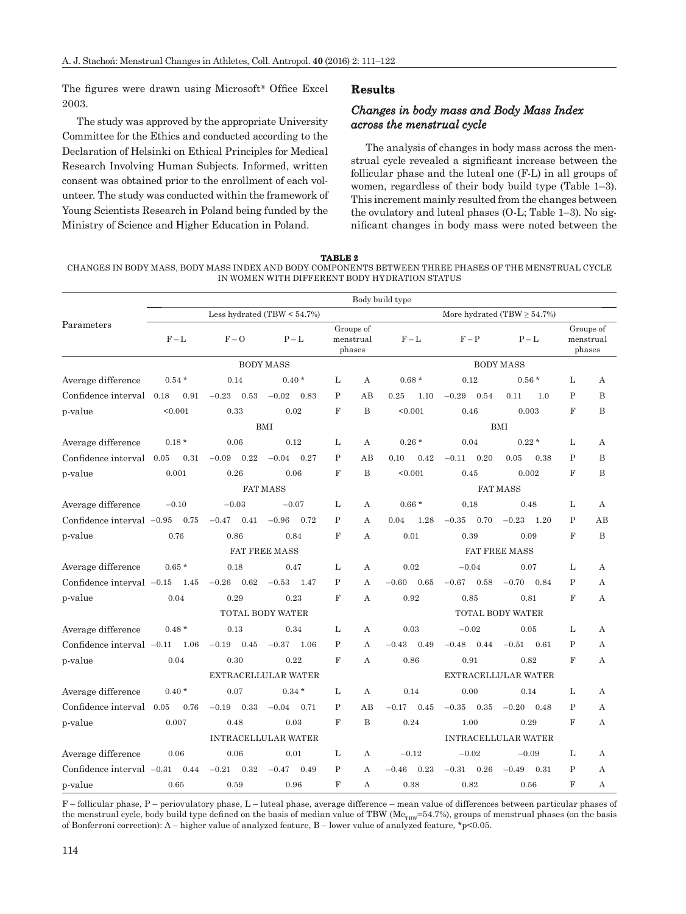The figures were drawn using Microsoft® Office Excel 2003.

The study was approved by the appropriate University Committee for the Ethics and conducted according to the Declaration of Helsinki on Ethical Principles for Medical Research Involving Human Subjects. Informed, written consent was obtained prior to the enrollment of each volunteer. The study was conducted within the framework of Young Scientists Research in Poland being funded by the Ministry of Science and Higher Education in Poland.

#### **Results**

## *Changes in body mass and Body Mass Index across the menstrual cycle cross*

The analysis of changes in body mass across the menstrual cycle revealed a significant increase between the follicular phase and the luteal one (F-L) in all groups of women, regardless of their body build type (Table 1–3). This increment mainly resulted from the changes between the ovulatory and luteal phases (O-L; Table 1–3). No significant changes in body mass were noted between the

**TABLE 2** CHANGES IN BODY MASS, BODY MASS INDEX AND BODY COMPONENTS BETWEEN THREE PHASES OF THE MENSTRUAL CYCLE IN WOMEN WITH DIFFERENT BODY HYDRATION STATUS

|                             | Body build type                                                                                                                                                                                                                                                                                                                                                                                                                                                                                                                                                                                                                                                                                                                                                                                                                                                                                                                                                                                                                                                                                                                                                                                                                                                                                                                                                                                                                                                                                                                                                                                                                                                                                                                                                                                                                                                                                                                                                                                                                                |                 |                 |             |   |                 |                 |                 |              |                                  |  |  |
|-----------------------------|------------------------------------------------------------------------------------------------------------------------------------------------------------------------------------------------------------------------------------------------------------------------------------------------------------------------------------------------------------------------------------------------------------------------------------------------------------------------------------------------------------------------------------------------------------------------------------------------------------------------------------------------------------------------------------------------------------------------------------------------------------------------------------------------------------------------------------------------------------------------------------------------------------------------------------------------------------------------------------------------------------------------------------------------------------------------------------------------------------------------------------------------------------------------------------------------------------------------------------------------------------------------------------------------------------------------------------------------------------------------------------------------------------------------------------------------------------------------------------------------------------------------------------------------------------------------------------------------------------------------------------------------------------------------------------------------------------------------------------------------------------------------------------------------------------------------------------------------------------------------------------------------------------------------------------------------------------------------------------------------------------------------------------------------|-----------------|-----------------|-------------|---|-----------------|-----------------|-----------------|--------------|----------------------------------|--|--|
|                             | Less hydrated $(TBW < 54.7%)$<br>More hydrated (TBW $\geq$ 54.7%)<br>Groups of<br>$F - L$<br>$F - O$<br>$F - L$<br>$P-I$<br>$P - L$<br>$F - P$<br>menstrual<br>phases<br><b>BODY MASS</b><br><b>BODY MASS</b><br>$0.40*$<br>L<br>$0.68*$<br>0.12<br>$0.56*$<br>$0.54*$<br>0.14<br>А<br>$\mathbf{P}$<br>$-0.23$<br>AB<br>$-0.29$<br>0.18<br>0.91<br>0.53<br>$-0.02$<br>0.83<br>0.25<br>1.10<br>0.54<br>0.11<br>1.0<br>$_{\rm F}$<br>B<br>< 0.001<br>0.33<br>0.02<br>< 0.001<br>0.46<br>0.003<br><b>BMI</b><br><b>BMI</b><br>0.04<br>$0.22*$<br>$0.18*$<br>0.06<br>0.12<br>L<br>$0.26*$<br>А<br>P<br>0.31<br>$-0.09$<br>0.22<br>$-0.04$ 0.27<br>AB<br>0.10<br>0.42<br>$-0.11$<br>0.20<br>0.05<br>0.38<br>$\mathbf F$<br>B<br>0.001<br>0.26<br>0.06<br>< 0.001<br>0.45<br>0.002<br><b>FAT MASS</b><br><b>FAT MASS</b><br>$-0.10$<br>$-0.03$<br>$-0.07$<br>L<br>$0.66*$<br>0,18<br>0.48<br>А<br>$-0.47$<br>0.41<br>$-0.96$<br>0.72<br>P<br>A<br>$-0.35$<br>0.70<br>$-0.23$<br>1.20<br>0.75<br>0.04<br>1.28<br>$\mathbf F$<br>0.76<br>0.86<br>0.84<br>0.01<br>0.39<br>0.09<br>А<br><b>FAT FREE MASS</b><br><b>FAT FREE MASS</b><br>L<br>0.02<br>$0.65*$<br>0.18<br>0.47<br>$-0.04$<br>0.07<br>А<br>$-0.26$<br>0.62<br>1.47<br>P<br>$-0.60$<br>0.65<br>$-0.67$<br>0.58<br>$-0.70$<br>1.45<br>$-0.53$<br>A<br>0.84<br>0.04<br>0.29<br>0.23<br>$_{\rm F}$<br>0.92<br>0.85<br>0.81<br>А<br>TOTAL BODY WATER<br>TOTAL BODY WATER<br>0.34<br>L<br>0.03<br>$-0.02$<br>$0.48*$<br>0.13<br>A<br>0.05<br>P<br>$-0.48$<br>0.44<br>$1.06\,$<br>$-0.19$<br>0.45<br>$-0.37$<br>1.06<br>А<br>$-0.43$<br>0.49<br>$-0.51$<br>0.61<br>F<br>0.04<br>0.30<br>0.22<br>0.86<br>0.91<br>0.82<br>А<br>EXTRACELLULAR WATER<br>EXTRACELLULAR WATER<br>$0.40*$<br>0.07<br>$0.34*$<br>L<br>0.14<br>0.00<br>0.14<br>А<br>$\mathbf P$<br>AB<br>0.05<br>0.76<br>0.33<br>$-0.04$<br>0.71<br>$-0.17$<br>0.45<br>$-0.35$<br>0.35<br>$-0.20$<br>0.48<br>$-0.19$<br>F<br>B<br>0.24<br>0.007<br>0.48<br>0.03<br>1.00<br>0.29<br><b>INTRACELLULAR WATER</b><br><b>INTRACELLULAR WATER</b> |                 |                 |             |   |                 |                 |                 |              |                                  |  |  |
| Parameters                  |                                                                                                                                                                                                                                                                                                                                                                                                                                                                                                                                                                                                                                                                                                                                                                                                                                                                                                                                                                                                                                                                                                                                                                                                                                                                                                                                                                                                                                                                                                                                                                                                                                                                                                                                                                                                                                                                                                                                                                                                                                                |                 |                 |             |   |                 |                 |                 |              | Groups of<br>menstrual<br>phases |  |  |
|                             |                                                                                                                                                                                                                                                                                                                                                                                                                                                                                                                                                                                                                                                                                                                                                                                                                                                                                                                                                                                                                                                                                                                                                                                                                                                                                                                                                                                                                                                                                                                                                                                                                                                                                                                                                                                                                                                                                                                                                                                                                                                |                 |                 |             |   |                 |                 |                 |              |                                  |  |  |
| Average difference          |                                                                                                                                                                                                                                                                                                                                                                                                                                                                                                                                                                                                                                                                                                                                                                                                                                                                                                                                                                                                                                                                                                                                                                                                                                                                                                                                                                                                                                                                                                                                                                                                                                                                                                                                                                                                                                                                                                                                                                                                                                                |                 |                 |             |   |                 |                 |                 | L            | А                                |  |  |
| Confidence interval         |                                                                                                                                                                                                                                                                                                                                                                                                                                                                                                                                                                                                                                                                                                                                                                                                                                                                                                                                                                                                                                                                                                                                                                                                                                                                                                                                                                                                                                                                                                                                                                                                                                                                                                                                                                                                                                                                                                                                                                                                                                                |                 |                 |             |   |                 |                 |                 | $\mathbf{P}$ | B                                |  |  |
| p-value                     |                                                                                                                                                                                                                                                                                                                                                                                                                                                                                                                                                                                                                                                                                                                                                                                                                                                                                                                                                                                                                                                                                                                                                                                                                                                                                                                                                                                                                                                                                                                                                                                                                                                                                                                                                                                                                                                                                                                                                                                                                                                |                 |                 |             |   |                 |                 |                 | $_{\rm F}$   | B                                |  |  |
|                             |                                                                                                                                                                                                                                                                                                                                                                                                                                                                                                                                                                                                                                                                                                                                                                                                                                                                                                                                                                                                                                                                                                                                                                                                                                                                                                                                                                                                                                                                                                                                                                                                                                                                                                                                                                                                                                                                                                                                                                                                                                                |                 |                 |             |   |                 |                 |                 |              |                                  |  |  |
| Average difference          |                                                                                                                                                                                                                                                                                                                                                                                                                                                                                                                                                                                                                                                                                                                                                                                                                                                                                                                                                                                                                                                                                                                                                                                                                                                                                                                                                                                                                                                                                                                                                                                                                                                                                                                                                                                                                                                                                                                                                                                                                                                |                 |                 |             |   |                 |                 |                 | L            | А                                |  |  |
| Confidence interval 0.05    |                                                                                                                                                                                                                                                                                                                                                                                                                                                                                                                                                                                                                                                                                                                                                                                                                                                                                                                                                                                                                                                                                                                                                                                                                                                                                                                                                                                                                                                                                                                                                                                                                                                                                                                                                                                                                                                                                                                                                                                                                                                |                 |                 |             |   |                 |                 |                 | $\mathbf{P}$ | B                                |  |  |
| p-value                     |                                                                                                                                                                                                                                                                                                                                                                                                                                                                                                                                                                                                                                                                                                                                                                                                                                                                                                                                                                                                                                                                                                                                                                                                                                                                                                                                                                                                                                                                                                                                                                                                                                                                                                                                                                                                                                                                                                                                                                                                                                                |                 |                 |             |   |                 |                 |                 | $_{\rm F}$   | B                                |  |  |
|                             |                                                                                                                                                                                                                                                                                                                                                                                                                                                                                                                                                                                                                                                                                                                                                                                                                                                                                                                                                                                                                                                                                                                                                                                                                                                                                                                                                                                                                                                                                                                                                                                                                                                                                                                                                                                                                                                                                                                                                                                                                                                |                 |                 |             |   |                 |                 |                 |              |                                  |  |  |
| Average difference          |                                                                                                                                                                                                                                                                                                                                                                                                                                                                                                                                                                                                                                                                                                                                                                                                                                                                                                                                                                                                                                                                                                                                                                                                                                                                                                                                                                                                                                                                                                                                                                                                                                                                                                                                                                                                                                                                                                                                                                                                                                                |                 |                 |             |   |                 |                 |                 | L            | А                                |  |  |
| Confidence interval $-0.95$ |                                                                                                                                                                                                                                                                                                                                                                                                                                                                                                                                                                                                                                                                                                                                                                                                                                                                                                                                                                                                                                                                                                                                                                                                                                                                                                                                                                                                                                                                                                                                                                                                                                                                                                                                                                                                                                                                                                                                                                                                                                                |                 |                 |             |   |                 |                 |                 | P            | AB                               |  |  |
| p-value                     |                                                                                                                                                                                                                                                                                                                                                                                                                                                                                                                                                                                                                                                                                                                                                                                                                                                                                                                                                                                                                                                                                                                                                                                                                                                                                                                                                                                                                                                                                                                                                                                                                                                                                                                                                                                                                                                                                                                                                                                                                                                |                 |                 |             |   |                 |                 |                 | $_{\rm F}$   | $\bf{B}$                         |  |  |
|                             |                                                                                                                                                                                                                                                                                                                                                                                                                                                                                                                                                                                                                                                                                                                                                                                                                                                                                                                                                                                                                                                                                                                                                                                                                                                                                                                                                                                                                                                                                                                                                                                                                                                                                                                                                                                                                                                                                                                                                                                                                                                |                 |                 |             |   |                 |                 |                 |              |                                  |  |  |
| Average difference          |                                                                                                                                                                                                                                                                                                                                                                                                                                                                                                                                                                                                                                                                                                                                                                                                                                                                                                                                                                                                                                                                                                                                                                                                                                                                                                                                                                                                                                                                                                                                                                                                                                                                                                                                                                                                                                                                                                                                                                                                                                                |                 |                 |             |   |                 |                 |                 | L            | А                                |  |  |
| Confidence interval $-0.15$ |                                                                                                                                                                                                                                                                                                                                                                                                                                                                                                                                                                                                                                                                                                                                                                                                                                                                                                                                                                                                                                                                                                                                                                                                                                                                                                                                                                                                                                                                                                                                                                                                                                                                                                                                                                                                                                                                                                                                                                                                                                                |                 |                 |             |   |                 |                 |                 | P            | А                                |  |  |
| p-value                     |                                                                                                                                                                                                                                                                                                                                                                                                                                                                                                                                                                                                                                                                                                                                                                                                                                                                                                                                                                                                                                                                                                                                                                                                                                                                                                                                                                                                                                                                                                                                                                                                                                                                                                                                                                                                                                                                                                                                                                                                                                                |                 |                 |             |   |                 |                 |                 | $_{\rm F}$   | А                                |  |  |
|                             |                                                                                                                                                                                                                                                                                                                                                                                                                                                                                                                                                                                                                                                                                                                                                                                                                                                                                                                                                                                                                                                                                                                                                                                                                                                                                                                                                                                                                                                                                                                                                                                                                                                                                                                                                                                                                                                                                                                                                                                                                                                |                 |                 |             |   |                 |                 |                 |              |                                  |  |  |
| Average difference          |                                                                                                                                                                                                                                                                                                                                                                                                                                                                                                                                                                                                                                                                                                                                                                                                                                                                                                                                                                                                                                                                                                                                                                                                                                                                                                                                                                                                                                                                                                                                                                                                                                                                                                                                                                                                                                                                                                                                                                                                                                                |                 |                 |             |   |                 |                 |                 | L            | А                                |  |  |
| Confidence interval $-0.11$ |                                                                                                                                                                                                                                                                                                                                                                                                                                                                                                                                                                                                                                                                                                                                                                                                                                                                                                                                                                                                                                                                                                                                                                                                                                                                                                                                                                                                                                                                                                                                                                                                                                                                                                                                                                                                                                                                                                                                                                                                                                                |                 |                 |             |   |                 |                 |                 | P            | А                                |  |  |
| p-value                     |                                                                                                                                                                                                                                                                                                                                                                                                                                                                                                                                                                                                                                                                                                                                                                                                                                                                                                                                                                                                                                                                                                                                                                                                                                                                                                                                                                                                                                                                                                                                                                                                                                                                                                                                                                                                                                                                                                                                                                                                                                                |                 |                 |             |   |                 |                 |                 | $_{\rm F}$   | А                                |  |  |
|                             |                                                                                                                                                                                                                                                                                                                                                                                                                                                                                                                                                                                                                                                                                                                                                                                                                                                                                                                                                                                                                                                                                                                                                                                                                                                                                                                                                                                                                                                                                                                                                                                                                                                                                                                                                                                                                                                                                                                                                                                                                                                |                 |                 |             |   |                 |                 |                 |              |                                  |  |  |
| Average difference          |                                                                                                                                                                                                                                                                                                                                                                                                                                                                                                                                                                                                                                                                                                                                                                                                                                                                                                                                                                                                                                                                                                                                                                                                                                                                                                                                                                                                                                                                                                                                                                                                                                                                                                                                                                                                                                                                                                                                                                                                                                                |                 |                 |             |   |                 |                 |                 | L            | А                                |  |  |
| Confidence interval         |                                                                                                                                                                                                                                                                                                                                                                                                                                                                                                                                                                                                                                                                                                                                                                                                                                                                                                                                                                                                                                                                                                                                                                                                                                                                                                                                                                                                                                                                                                                                                                                                                                                                                                                                                                                                                                                                                                                                                                                                                                                |                 |                 |             |   |                 |                 |                 | $\mathbf{P}$ | А                                |  |  |
| p-value                     |                                                                                                                                                                                                                                                                                                                                                                                                                                                                                                                                                                                                                                                                                                                                                                                                                                                                                                                                                                                                                                                                                                                                                                                                                                                                                                                                                                                                                                                                                                                                                                                                                                                                                                                                                                                                                                                                                                                                                                                                                                                |                 |                 |             |   |                 |                 |                 | F            | А                                |  |  |
|                             |                                                                                                                                                                                                                                                                                                                                                                                                                                                                                                                                                                                                                                                                                                                                                                                                                                                                                                                                                                                                                                                                                                                                                                                                                                                                                                                                                                                                                                                                                                                                                                                                                                                                                                                                                                                                                                                                                                                                                                                                                                                |                 |                 |             |   |                 |                 |                 |              |                                  |  |  |
| Average difference          | 0.06                                                                                                                                                                                                                                                                                                                                                                                                                                                                                                                                                                                                                                                                                                                                                                                                                                                                                                                                                                                                                                                                                                                                                                                                                                                                                                                                                                                                                                                                                                                                                                                                                                                                                                                                                                                                                                                                                                                                                                                                                                           | 0.06            | 0.01            | L           | А | $-0.12$         | $-0.02$         | $-0.09$         | L            | А                                |  |  |
| Confidence interval $-0.31$ | 0.44                                                                                                                                                                                                                                                                                                                                                                                                                                                                                                                                                                                                                                                                                                                                                                                                                                                                                                                                                                                                                                                                                                                                                                                                                                                                                                                                                                                                                                                                                                                                                                                                                                                                                                                                                                                                                                                                                                                                                                                                                                           | $-0.21$<br>0.32 | $-0.47$<br>0.49 | $\mathbf P$ | А | $-0.46$<br>0.23 | $-0.31$<br>0.26 | $-0.49$<br>0.31 | $\mathbf{P}$ | А                                |  |  |
| p-value                     | 0.65                                                                                                                                                                                                                                                                                                                                                                                                                                                                                                                                                                                                                                                                                                                                                                                                                                                                                                                                                                                                                                                                                                                                                                                                                                                                                                                                                                                                                                                                                                                                                                                                                                                                                                                                                                                                                                                                                                                                                                                                                                           | 0.59            | 0.96            | F           | А | 0.38            | 0.82            | 0.56            | $_{\rm F}$   | А                                |  |  |

F – follicular phase, P – periovulatory phase, L – luteal phase, average difference – mean value of differences between particular phases of the menstrual cycle, body build type defined on the basis of median value of TBW ( $Me_{TBW}=54.7%$ ), groups of menstrual phases (on the basis of Bonferroni correction):  $A$  – higher value of analyzed feature, B – lower value of analyzed feature, \*p<0.05.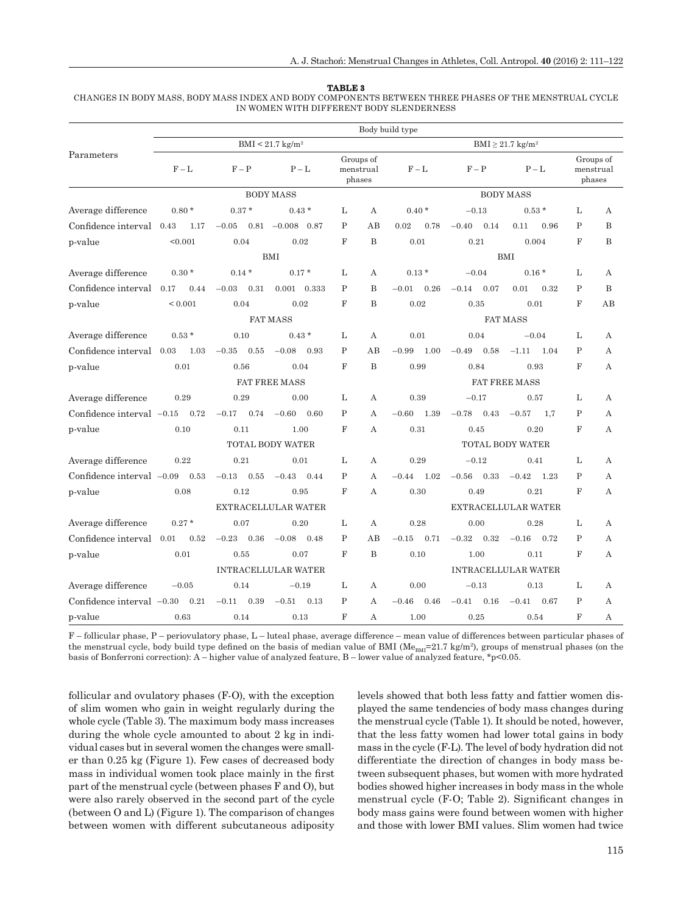#### **TABLE 3**

 CHANGES IN BODY MASS, BODY MASS INDEX AND BODY COMPONENTS BETWEEN THREE PHASES OF THE MENSTRUAL CYCLE IN WOMEN WITH DIFFERENT BODY SLENDERNESS

|                             | Body build type |                 |                                |                                   |                                  |                            |                 |                      |                |                                  |  |  |
|-----------------------------|-----------------|-----------------|--------------------------------|-----------------------------------|----------------------------------|----------------------------|-----------------|----------------------|----------------|----------------------------------|--|--|
| Parameters                  |                 |                 | $BMI < 21.7$ kg/m <sup>2</sup> | $BMI \geq 21.7$ kg/m <sup>2</sup> |                                  |                            |                 |                      |                |                                  |  |  |
|                             | $F - L$         | $F - P$         | $P-L$                          |                                   | Groups of<br>menstrual<br>phases | $F - L$                    | $F - P$         | $P-L$                |                | Groups of<br>menstrual<br>phases |  |  |
|                             |                 |                 | <b>BODY MASS</b>               |                                   |                                  |                            |                 | <b>BODY MASS</b>     |                |                                  |  |  |
| Average difference          | $0.80*$         | $0.37*$         | $0.43*$                        | L                                 | A                                | $0.40*$                    | $-0.13$         | $0.53*$              | L              | A                                |  |  |
| Confidence interval 0.43    | 1.17            | $-0.05$<br>0.81 | $-0.008$ 0.87                  | $\mathbf{P}$                      | AB                               | 0.02<br>0.78               | $-0.40$<br>0.14 | 0.11<br>0.96         | $\mathbf{P}$   | B                                |  |  |
| p-value                     | < 0.001         | 0.04            | 0.02                           | $_{\rm F}$                        | B                                | 0.01                       | 0.21            | 0.004                | $_{\rm F}$     | B                                |  |  |
|                             |                 |                 | <b>BMI</b>                     |                                   |                                  |                            |                 | <b>BMI</b>           |                |                                  |  |  |
| Average difference          | $0.30*$         | $0.14*$         | $0.17*$                        | L                                 | A                                | $0.13*$                    | $-0.04$         | $0.16*$              | L              | A                                |  |  |
| Confidence interval 0.17    | 0.44            | $-0.03$<br>0.31 | $0.001$ $0.333$                | P                                 | B                                | $-0.01$<br>0.26            | 0.07<br>$-0.14$ | 0.01<br>0.32         | P              | B                                |  |  |
| p-value                     | ${}_{0.001}$    | 0.04            | 0.02                           | $_{\rm F}$                        | B                                | 0.02                       | 0.35            | 0.01                 | F              | AВ                               |  |  |
|                             |                 |                 | <b>FAT MASS</b>                |                                   |                                  | <b>FAT MASS</b>            |                 |                      |                |                                  |  |  |
| Average difference          | $0.53*$         | 0.10            | $0.43*$                        | L                                 | A                                | 0.01                       | 0.04            | $-0.04$              | L              | А                                |  |  |
| Confidence interval 0.03    | 1.03            | $-0.35$<br>0.55 | $-0.08$<br>0.93                | $\mathbf P$                       | AB                               | 1.00<br>$-0.99$            | 0.58<br>$-0.49$ | 1.04<br>$-1.11$      | $\mathbf{P}$   | A                                |  |  |
| p-value                     | 0.01            | 0.56            | 0.04                           | $\mathbf F$                       | B                                | 0.99                       | 0.84            | 0.93                 | $_{\rm F}$     | А                                |  |  |
|                             |                 |                 | <b>FAT FREE MASS</b>           |                                   |                                  |                            |                 | <b>FAT FREE MASS</b> |                |                                  |  |  |
| Average difference          | 0.29            | 0.29            | 0.00                           | L                                 | А                                | 0.39                       | $-0.17$         | 0.57                 | L              | А                                |  |  |
| Confidence interval $-0.15$ | 0.72            | $-0.17$<br>0.74 | 0.60<br>$-0.60$                | P                                 | А                                | $-0.60$<br>1.39            | $-0.78$<br>0.43 | $-0.57$<br>1.7       | P              | А                                |  |  |
| p-value                     | 0.10            | 0.11            | 1.00                           | $_{\rm F}$                        | A                                | 0.31                       | 0.45            | 0.20                 | F              | А                                |  |  |
|                             |                 |                 | <b>TOTAL BODY WATER</b>        |                                   |                                  | <b>TOTAL BODY WATER</b>    |                 |                      |                |                                  |  |  |
| Average difference          | 0.22            | 0.21            | 0.01                           | L                                 | A                                | 0.29                       | $-0.12$         | 0.41                 | L              | $\mathbf{A}$                     |  |  |
| Confidence interval $-0.09$ | 0.53            | $-0.13$<br>0.55 | $-0.43$<br>0.44                | P                                 | A                                | $-0.44$<br>1.02            | $-0.56$<br>0.33 | $-0.42$<br>1.23      | $\mathbf{P}$   | A                                |  |  |
| p-value                     | 0.08            | 0.12            | 0.95                           | $_{\rm F}$                        | A                                | 0.30                       | 0.49            | 0.21                 | $_{\rm F}$     | $\mathbf{A}$                     |  |  |
|                             |                 |                 | EXTRACELLULAR WATER            |                                   |                                  | EXTRACELLULAR WATER        |                 |                      |                |                                  |  |  |
| Average difference          | $0.27*$         | 0.07            | 0.20                           | L                                 | A                                | 0.28                       | 0.00            | 0.28                 | L              | А                                |  |  |
| Confidence interval 0.01    | 0.52            | $-0.23$<br>0.36 | $-0.08$<br>0.48                | $\mathbf{P}$                      | AB                               | 0.71<br>$-0.15$            | $-0.32$<br>0.32 | $-0.16$<br>0.72      | P              | A                                |  |  |
| p-value                     | 0.01            | 0.55            | 0.07                           | $_{\rm F}$                        | $\overline{B}$                   | 0.10                       | 1.00            | 0.11                 | $_{\rm F}$     | А                                |  |  |
|                             |                 |                 | <b>INTRACELLULAR WATER</b>     |                                   |                                  | <b>INTRACELLULAR WATER</b> |                 |                      |                |                                  |  |  |
| Average difference          | $-0.05$         | 0.14            | $-0.19$                        | L                                 | A                                | 0.00                       | $-0.13$         | 0.13                 | L              | А                                |  |  |
| Confidence interval $-0.30$ | 0.21            | 0.39<br>$-0.11$ | $-0.51$<br>0.13                | $\mathbf P$                       | A                                | $-0.46$<br>0.46            | 0.16<br>$-0.41$ | $-0.41$<br>0.67      | $\mathbf{P}$   | А                                |  |  |
| p-value                     | 0.63            | 0.14            | 0.13                           | $\mathbf{F}$                      | А                                | 1.00                       | 0.25            | 0.54                 | $\overline{F}$ | А                                |  |  |

F – follicular phase, P – periovulatory phase, L – luteal phase, average difference – mean value of differences between particular phases of the menstrual cycle, body build type defined on the basis of median value of BMI (Me<sub>BMI</sub>=21.7 kg/m<sup>2</sup>), groups of menstrual phases (on the basis of Bonferroni correction): A – higher value of analyzed feature, B – lower value of analyzed feature,  $\text{*p}$  < 0.05.

follicular and ovulatory phases (F-O), with the exception of slim women who gain in weight regularly during the whole cycle (Table 3). The maximum body mass increases during the whole cycle amounted to about 2 kg in individual cases but in several women the changes were smaller than 0.25 kg (Figure 1). Few cases of decreased body mass in individual women took place mainly in the first part of the menstrual cycle (between phases F and O), but were also rarely observed in the second part of the cycle (between O and L) (Figure 1). The comparison of changes between women with different subcutaneous adiposity levels showed that both less fatty and fattier women displayed the same tendencies of body mass changes during the menstrual cycle (Table 1). It should be noted, however, that the less fatty women had lower total gains in body mass in the cycle (F-L). The level of body hydration did not differentiate the direction of changes in body mass between subsequent phases, but women with more hydrated bodies showed higher increases in body mass in the whole menstrual cycle (F-O; Table 2). Significant changes in body mass gains were found between women with higher and those with lower BMI values. Slim women had twice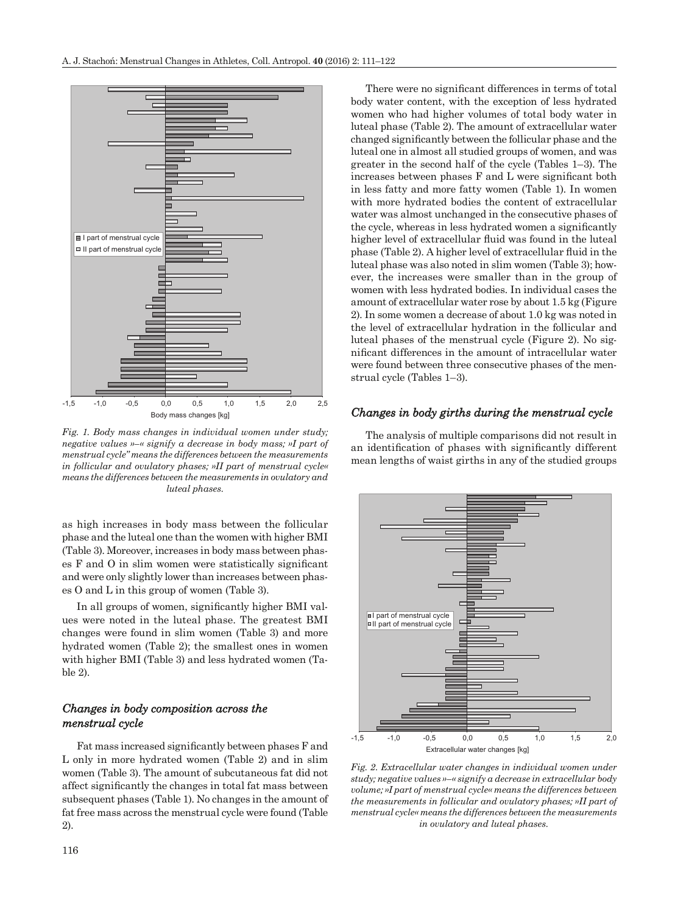

*Fig. 1. Body mass changes in individual women under study; negative values »–« signify a decrease in body mass; »I part of menstrual cycle" means the differences between the measurements in follicular and ovulatory phases; »II part of menstrual cycle« means the differences between the measurements in ovulatory and luteal phases.*

as high increases in body mass between the follicular phase and the luteal one than the women with higher BMI (Table 3). Moreover, increases in body mass between phases  $F$  and  $O$  in slim women were statistically significant and were only slightly lower than increases between phases O and L in this group of women (Table 3).

In all groups of women, significantly higher BMI values were noted in the luteal phase. The greatest BMI changes were found in slim women (Table 3) and more hydrated women (Table 2); the smallest ones in women with higher BMI (Table 3) and less hydrated women (Table 2).

#### *Changes in body composition across the menstrual cycle enstrual*

Fat mass increased significantly between phases F and L only in more hydrated women (Table 2) and in slim women (Table 3). The amount of subcutaneous fat did not affect significantly the changes in total fat mass between subsequent phases (Table 1). No changes in the amount of fat free mass across the menstrual cycle were found (Table 2).

There were no significant differences in terms of total body water content, with the exception of less hydrated women who had higher volumes of total body water in luteal phase (Table 2). The amount of extracellular water changed significantly between the follicular phase and the luteal one in almost all studied groups of women, and was greater in the second half of the cycle (Tables 1–3). The increases between phases  $F$  and  $L$  were significant both in less fatty and more fatty women (Table 1). In women with more hydrated bodies the content of extracellular water was almost unchanged in the consecutive phases of the cycle, whereas in less hydrated women a significantly higher level of extracellular fluid was found in the luteal phase (Table 2). A higher level of extracellular fluid in the luteal phase was also noted in slim women (Table 3); however, the increases were smaller than in the group of women with less hydrated bodies. In individual cases the amount of extracellular water rose by about 1.5 kg (Figure 2). In some women a decrease of about 1.0 kg was noted in the level of extracellular hydration in the follicular and luteal phases of the menstrual cycle (Figure 2). No significant differences in the amount of intracellular water were found between three consecutive phases of the menstrual cycle (Tables 1–3).

#### *Changes in body girths during the menstrual cycle hanges*

The analysis of multiple comparisons did not result in an identification of phases with significantly different mean lengths of waist girths in any of the studied groups



*Fig. 2. Extracellular water changes in individual women under study; negative values »–« signify a decrease in extracellular body volume; »I part of menstrual cycle« means the differences between the measurements in follicular and ovulatory phases; »II part of menstrual cycle« means the differences between the measurements in ovulatory and luteal phases.*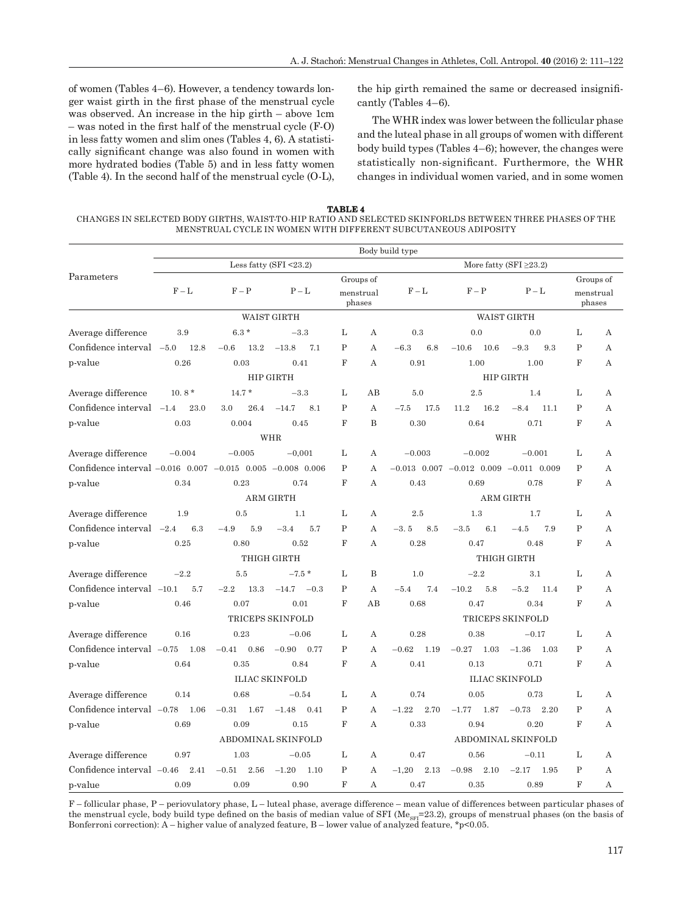of women (Tables 4–6). However, a tendency towards longer waist girth in the first phase of the menstrual cycle was observed. An increase in the hip girth – above 1cm  $-$  was noted in the first half of the menstrual cycle  $(F-<sub>0</sub>)$ in less fatty women and slim ones (Tables 4, 6). A statistically significant change was also found in women with more hydrated bodies (Table 5) and in less fatty women (Table 4). In the second half of the menstrual cycle (O-L), the hip girth remained the same or decreased insignificantly (Tables 4–6).

The WHR index was lower between the follicular phase and the luteal phase in all groups of women with different body build types (Tables 4–6); however, the changes were statistically non-significant. Furthermore, the WHR changes in individual women varied, and in some women

**TABLE 4** CHANGES IN SELECTED BODY GIRTHS, WAIST-TO-HIP RATIO AND SELECTED SKINFORLDS BETWEEN THREE PHASES OF THE MENSTRUAL CYCLE IN WOMEN WITH DIFFERENT SUBCUTANEOUS ADIPOSITY

|                                                                  | Body build type |                 |                           |              |                                  |                              |                                                    |                       |                |                                  |  |  |
|------------------------------------------------------------------|-----------------|-----------------|---------------------------|--------------|----------------------------------|------------------------------|----------------------------------------------------|-----------------------|----------------|----------------------------------|--|--|
| Parameters                                                       |                 |                 | Less fatty (SFI $<$ 23.2) |              |                                  | More fatty (SFI $\geq$ 23.2) |                                                    |                       |                |                                  |  |  |
|                                                                  | $F - L$         | $F - P$         | $P-L$                     |              | Groups of<br>menstrual<br>phases | $F - L$                      | $F - P$                                            | $P-L$                 |                | Groups of<br>menstrual<br>phases |  |  |
|                                                                  |                 |                 | <b>WAIST GIRTH</b>        |              |                                  |                              |                                                    | <b>WAIST GIRTH</b>    |                |                                  |  |  |
| Average difference                                               | 3.9             | $6.3*$          | $-3.3$                    | L            | A                                | 0.3                          | 0.0                                                | 0.0                   | L              | A                                |  |  |
| Confidence interval -5.0                                         | 12.8            | $-0.6$<br>13.2  | $-13.8$<br>7.1            | $\mathbf P$  | A                                | $-6.3$<br>6.8                | $-10.6$<br>10.6                                    | $-9.3$<br>9.3         | $\mathbf{P}$   | A                                |  |  |
| p-value                                                          | 0.26            | 0.03            | 0.41                      | F            | A                                | 0.91                         | 1.00                                               | 1.00                  | $\mathbf F$    | A                                |  |  |
|                                                                  |                 |                 | <b>HIP GIRTH</b>          |              |                                  |                              |                                                    | <b>HIP GIRTH</b>      |                |                                  |  |  |
| Average difference                                               | $10.8*$         | $14.7*$         | $-3.3$                    | L            | AB                               | 5.0                          | 2.5                                                | 1.4                   | L              | А                                |  |  |
| Confidence interval $-1.4$                                       | 23.0            | 26.4<br>3.0     | $-14.7$<br>8.1            | $\mathbf{P}$ | A                                | 17.5<br>$-7.5$               | 16.2<br>11.2                                       | $-8.4$<br>11.1        | P              | А                                |  |  |
| p-value                                                          | 0.03            | 0.004           | 0.45                      | $\mathbf F$  | B                                | 0.30                         | 0.64                                               | 0.71                  | F              | А                                |  |  |
|                                                                  |                 |                 | WHR                       |              |                                  | WHR                          |                                                    |                       |                |                                  |  |  |
| Average difference                                               | $-0.004$        | $-0.005$        | $-0.001$                  | L            | A                                | $-0.003$                     | $-0.002$                                           | $-0.001$              | L              | А                                |  |  |
| Confidence interval $-0.016$ 0.007 $-0.015$ 0.005 $-0.008$ 0.006 |                 |                 |                           | P            | A                                |                              | $-0.013$ $0.007$ $-0.012$ $0.009$ $-0.011$ $0.009$ |                       | $\mathbf{P}$   | $\mathbf{A}$                     |  |  |
| p-value                                                          | 0.34            | 0.23            | 0.74                      | $\mathbf{F}$ | $\overline{A}$                   | 0.43                         | 0.69                                               | 0.78                  | $_{\rm F}$     | $\overline{A}$                   |  |  |
|                                                                  |                 |                 | <b>ARM GIRTH</b>          |              |                                  |                              |                                                    | <b>ARM GIRTH</b>      |                |                                  |  |  |
| Average difference                                               | 1.9             | 0.5             | 1.1                       | L            | А                                | 2.5                          | 1.3                                                | 1.7                   | L              | А                                |  |  |
| Confidence interval $-2.4$                                       | 6.3             | 5.9<br>$-4.9$   | $-3.4$<br>5.7             | $\mathbf P$  | A                                | $-3.5$<br>8.5                | $-3.5$<br>6.1                                      | $-4.5$<br>7.9         | $\mathbf P$    | А                                |  |  |
| p-value                                                          | 0.25            | 0.80            | 0.52                      | F            | A                                | 0.28                         | 0.47                                               | 0.48                  | F              | $\mathbf{A}$                     |  |  |
|                                                                  |                 |                 | THIGH GIRTH               |              |                                  |                              |                                                    | THIGH GIRTH           |                |                                  |  |  |
| Average difference                                               | $-2.2$          | 5.5             | $-7.5*$                   | L            | B                                | 1.0                          | $-2.2$                                             | 3.1                   | L              | А                                |  |  |
| Confidence interval $-10.1$                                      | 5.7             | 13.3<br>$-2.2$  | $-14.7 - 0.3$             | $\mathbf{P}$ | $\mathbf{A}$                     | 7.4<br>$-5.4$                | $-10.2$<br>5.8                                     | $-5.2$<br>11.4        | $\mathbf P$    | $\mathbf{A}$                     |  |  |
| p-value                                                          | 0.46            | 0.07            | 0.01                      | $_{\rm F}$   | AB                               | 0.68                         | 0.47                                               | 0.34                  | $_{\rm F}$     | A                                |  |  |
|                                                                  |                 |                 | TRICEPS SKINFOLD          |              |                                  |                              |                                                    | TRICEPS SKINFOLD      |                |                                  |  |  |
| Average difference                                               | 0.16            | 0.23            | $-0.06$                   | L            | A                                | 0.28                         | 0.38                                               | $-0.17$               | L              | А                                |  |  |
| Confidence interval $-0.75$                                      | 1.08            | 0.86<br>$-0.41$ | $-0.90$<br>0.77           | $\mathbf{P}$ | A                                | $-0.62$<br>1.19              | $-0.27$<br>1.03                                    | $-1.36$<br>1.03       | P              | А                                |  |  |
| p-value                                                          | 0.64            | 0.35            | 0.84                      | $\mathbf F$  | А                                | 0.41                         | 0.13                                               | 0.71                  | F              | А                                |  |  |
|                                                                  |                 |                 | <b>ILIAC SKINFOLD</b>     |              |                                  |                              |                                                    | <b>ILIAC SKINFOLD</b> |                |                                  |  |  |
| Average difference                                               | 0.14            | 0.68            | $-0.54$                   | L            | A                                | 0.74                         | 0.05                                               | 0.73                  | L              | А                                |  |  |
| Confidence interval $-0.78$                                      | 1.06            | $-0.31$<br>1.67 | $-1.48$<br>0.41           | $\mathbf P$  | $\mathbf{A}$                     | $-1.22$<br>2.70              | $-1.77$<br>1.87                                    | 2.20<br>$-0.73$       | $\overline{P}$ | А                                |  |  |
| p-value                                                          | 0.69            | 0.09            | 0.15                      | $_{\rm F}$   | A                                | 0.33                         | 0.94                                               | 0.20                  | $_{\rm F}$     | $\mathbf{A}$                     |  |  |
|                                                                  |                 |                 | ABDOMINAL SKINFOLD        |              |                                  |                              |                                                    | ABDOMINAL SKINFOLD    |                |                                  |  |  |
| Average difference                                               | 0.97            | 1.03            | $-0.05$                   | L            | А                                | 0.47                         | 0.56                                               | $-0.11$               | L              | А                                |  |  |
| Confidence interval $-0.46$                                      | 2.41            | 2.56<br>$-0.51$ | $-1.20$<br>1.10           | $\mathbf P$  | A                                | 2.13<br>$-1,20$              | $2.10\,$<br>$-0.98$                                | $-2.17$<br>1.95       | $\mathbf P$    | A                                |  |  |
| p-value                                                          | 0.09            | 0.09            | 0.90                      | $\mathbf{F}$ | A                                | 0.47                         | 0.35                                               | 0.89                  | $\overline{F}$ | А                                |  |  |

F – follicular phase, P – periovulatory phase, L – luteal phase, average difference – mean value of differences between particular phases of the menstrual cycle, body build type defined on the basis of median value of SFI ( $\text{Me}_{\text{SFI}}$ =23.2), groups of menstrual phases (on the basis of Bonferroni correction):  $A - h$ igher value of analyzed feature,  $B - h$ ower value of analyzed feature, \*p<0.05.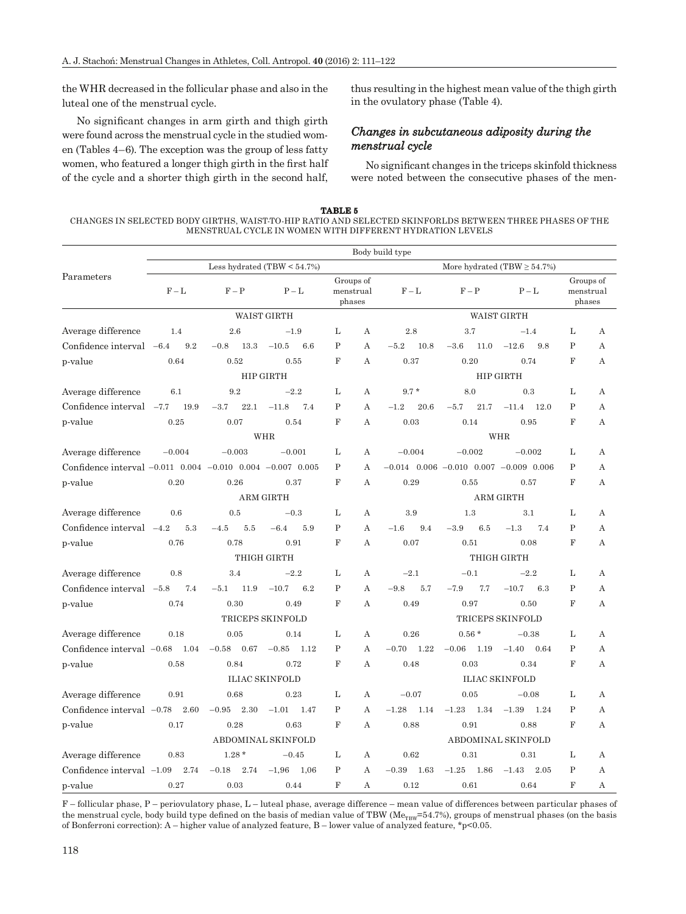the WHR decreased in the follicular phase and also in the luteal one of the menstrual cycle.

No significant changes in arm girth and thigh girth were found across the menstrual cycle in the studied women (Tables 4–6). The exception was the group of less fatty women, who featured a longer thigh girth in the first half of the cycle and a shorter thigh girth in the second half, thus resulting in the highest mean value of the thigh girth in the ovulatory phase (Table 4).

### *Changes in subcutaneous adiposity during the menstrual cycle enstrual*

No significant changes in the triceps skinfold thickness were noted between the consecutive phases of the men-

| TABLE 5                                                                                                 |
|---------------------------------------------------------------------------------------------------------|
| CHANGES IN SELECTED BODY GIRTHS. WAIST-TO-HIP RATIO AND SELECTED SKINFORLDS BETWEEN THREE PHASES OF THE |
| MENSTRUAL CYCLE IN WOMEN WITH DIFFERENT HYDRATION LEVELS                                                |

|                                                            | Body build type               |                    |                         |                                  |   |                                  |                                                    |                         |              |                                  |  |  |
|------------------------------------------------------------|-------------------------------|--------------------|-------------------------|----------------------------------|---|----------------------------------|----------------------------------------------------|-------------------------|--------------|----------------------------------|--|--|
| Parameters                                                 | Less hydrated $(TBW < 54.7%)$ |                    |                         |                                  |   | More hydrated (TBW $\geq$ 54.7%) |                                                    |                         |              |                                  |  |  |
|                                                            | $F - L$                       | $F - P$            | $P - L$                 | Groups of<br>menstrual<br>phases |   | $F-L$                            | $F - P$                                            | $P - L$                 |              | Groups of<br>menstrual<br>phases |  |  |
|                                                            |                               |                    | <b>WAIST GIRTH</b>      |                                  |   |                                  |                                                    | <b>WAIST GIRTH</b>      |              |                                  |  |  |
| Average difference                                         | 1.4                           | 2.6                | $-1.9$                  | L                                | А | 2.8                              | 3.7                                                | $-1.4$                  | L            | А                                |  |  |
| Confidence interval $-6.4$                                 | 9.2                           | $13.3\,$<br>$-0.8$ | $-10.5$<br>6.6          | $\mathbf{P}$                     | A | $-5.2$<br>10.8                   | 11.0<br>$-3.6$                                     | $-12.6$<br>9.8          | P            | А                                |  |  |
| p-value                                                    | 0.64                          | 0.52               | 0.55                    | F                                | А | 0.37                             | 0.20                                               | 0.74                    | F            | А                                |  |  |
|                                                            |                               |                    | HIP GIRTH               |                                  |   |                                  |                                                    | <b>HIP GIRTH</b>        |              |                                  |  |  |
| Average difference                                         | 6.1                           | 9.2                | $-2.2$                  | L                                | А | $9.7 *$                          | 8.0                                                | 0.3                     | L            | А                                |  |  |
| Confidence interval                                        | 19.9<br>$-7.7$                | $-3.7$<br>22.1     | 7.4<br>$-11.8$          | $\mathbf P$                      | А | $-1.2$<br>20.6                   | 21.7<br>$-5.7$                                     | $-11.4$<br>12.0         | $\mathbf P$  | А                                |  |  |
| p-value                                                    | 0.25                          | 0.07               | 0.54                    | $\mathbf F$                      | A | 0.03                             | 0.14                                               | 0.95                    | F            | $\mathbf{A}$                     |  |  |
|                                                            |                               |                    | <b>WHR</b>              |                                  |   |                                  |                                                    | <b>WHR</b>              |              |                                  |  |  |
| Average difference                                         | $-0.004$                      | $-0.003$           | $-0.001$                | L                                | А | $-0.004$                         | $-0.002$                                           | $-0.002$                | L            | А                                |  |  |
| Confidence interval -0.011 0.004 -0.010 0.004 -0.007 0.005 |                               |                    |                         | P                                | A |                                  | $-0.014$ $0.006$ $-0.010$ $0.007$ $-0.009$ $0.006$ |                         | $\mathbf{P}$ | $\mathbf{A}$                     |  |  |
| p-value                                                    | 0.20                          | 0.26               | 0.37                    | F                                | A | 0.29                             | 0.55                                               | 0.57                    | F            | $\mathbf{A}$                     |  |  |
|                                                            |                               |                    | <b>ARM GIRTH</b>        |                                  |   |                                  |                                                    | <b>ARM GIRTH</b>        |              |                                  |  |  |
| Average difference                                         | 0.6                           | 0.5                | $-0.3$                  | L                                | А | 3.9                              | 1.3                                                | 3.1                     | L            | А                                |  |  |
| Confidence interval $-4.2$                                 | 5.3                           | 5.5<br>$-4.5$      | $-6.4$<br>5.9           | P                                | A | $-1.6$<br>9.4                    | $-3.9$<br>6.5                                      | $-1.3$<br>7.4           | $\mathbf P$  | A                                |  |  |
| p-value                                                    | 0.76                          | 0.78               | 0.91                    | F                                | A | 0.07                             | 0.51                                               | 0.08                    | F            | $\mathbf{A}$                     |  |  |
|                                                            |                               |                    | THIGH GIRTH             |                                  |   |                                  |                                                    | THIGH GIRTH             |              |                                  |  |  |
| Average difference                                         | 0.8                           | 3.4                | $-2.2$                  | L                                | А | $-2.1$                           | $-0.1$                                             | $-2.2$                  | L            | A                                |  |  |
| Confidence interval -5.8                                   | 7.4                           | 11.9<br>$-5.1$     | $-10.7$<br>6.2          | P                                | A | $-9.8$<br>5.7                    | $-7.9$<br>7.7                                      | $-10.7$<br>6.3          | $\mathbf{P}$ | A                                |  |  |
| p-value                                                    | 0.74                          | 0.30               | 0.49                    | $\mathbf F$                      | A | 0.49                             | 0.97                                               | 0.50                    | F            | $\mathbf{A}$                     |  |  |
|                                                            |                               |                    | <b>TRICEPS SKINFOLD</b> |                                  |   |                                  |                                                    | <b>TRICEPS SKINFOLD</b> |              |                                  |  |  |
| Average difference                                         | 0.18                          | 0.05               | 0.14                    | L                                | А | 0.26                             | $0.56*$                                            | $-0.38$                 | L            | А                                |  |  |
| Confidence interval $-0.68$                                | 1.04                          | $-0.58$<br>0.67    | $-0.85$<br>1.12         | $\mathbf P$                      | A | $-0.70$<br>1.22                  | $-0.06$<br>1.19                                    | $-1.40$<br>0.64         | $\mathbf{P}$ | $\mathbf{A}$                     |  |  |
| p-value                                                    | 0.58                          | 0.84               | 0.72                    | $\mathbf F$                      | А | 0.48                             | 0.03                                               | 0.34                    | F            | А                                |  |  |
|                                                            |                               |                    | <b>ILIAC SKINFOLD</b>   |                                  |   |                                  |                                                    | <b>ILIAC SKINFOLD</b>   |              |                                  |  |  |
| Average difference                                         | 0.91                          | 0.68               | 0.23                    | L                                | А | $-0.07$                          | 0.05                                               | $-0.08$                 | L            | А                                |  |  |
| Confidence interval $-0.78$                                | 2.60                          | $-0.95$<br>2.30    | $-1.01$<br>1.47         | $\mathbf P$                      | A | $-1.28$<br>1.14                  | $-1.23$<br>1.34                                    | $-1.39$<br>1.24         | $\mathbf{P}$ | A                                |  |  |
| p-value                                                    | 0.17                          | 0.28               | 0.63                    | $\mathbf F$                      | А | 0.88                             | 0.91                                               | 0.88                    | F            | А                                |  |  |
|                                                            |                               |                    | ABDOMINAL SKINFOLD      |                                  |   |                                  |                                                    | ABDOMINAL SKINFOLD      |              |                                  |  |  |
| Average difference                                         | 0.83                          | $1.28*$            | $-0.45$                 | L                                | А | 0.62                             | 0.31                                               | 0.31                    | L            | А                                |  |  |
| Confidence interval $-1.09$                                | 2.74                          | $-0.18$<br>2.74    | $-1,96$<br>1,06         | $\mathbf{P}$                     | A | $-0.39$<br>1.63                  | $-1.25$<br>1.86                                    | $-1.43$<br>2.05         | $\mathbf P$  | $\mathbf{A}$                     |  |  |
| p-value                                                    | 0.27                          | 0.03               | 0.44                    | $\mathbf{F}$                     | А | 0.12                             | 0.61                                               | 0.64                    | F            | А                                |  |  |

F – follicular phase, P – periovulatory phase, L – luteal phase, average difference – mean value of differences between particular phases of the menstrual cycle, body build type defined on the basis of median value of TBW ( $Me_{TBW}=54.7%$ ), groups of menstrual phases (on the basis of Bonferroni correction): A – higher value of analyzed feature, B – lower value of analyzed feature, \*p<0.05.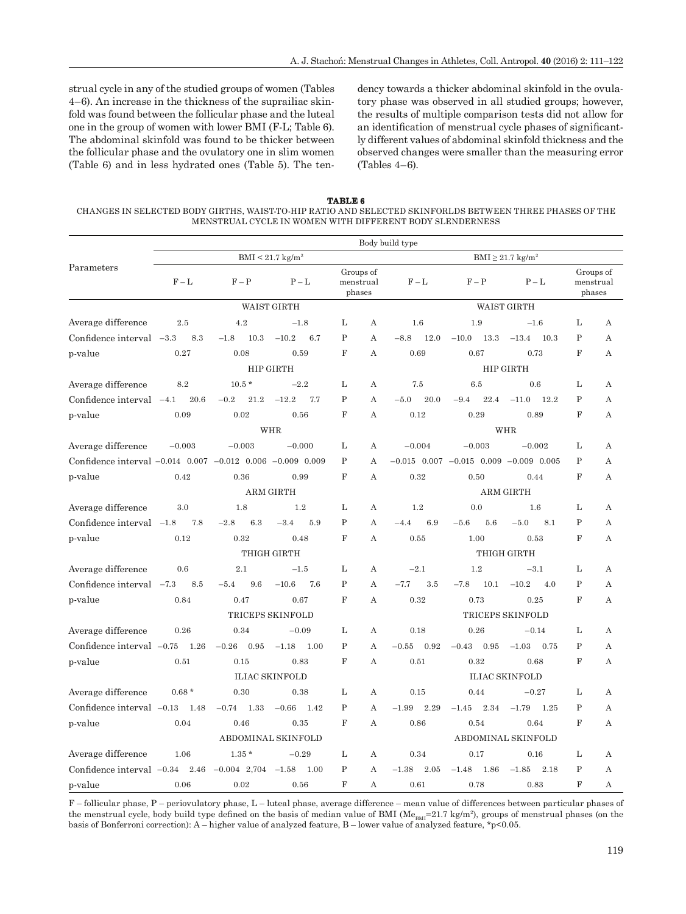strual cycle in any of the studied groups of women (Tables 4–6). An increase in the thickness of the suprailiac skinfold was found between the follicular phase and the luteal one in the group of women with lower BMI (F-L; Table 6). The abdominal skinfold was found to be thicker between the follicular phase and the ovulatory one in slim women (Table 6) and in less hydrated ones (Table 5). The tendency towards a thicker abdominal skinfold in the ovula tory phase was observed in all studied groups; however, the results of multiple comparison tests did not allow for an identification of menstrual cycle phases of significantly different values of abdominal skinfold thickness and the observed changes were smaller than the measuring error (Tables 4–6).

**TABLE 6** CHANGES IN SELECTED BODY GIRTHS, WAIST-TO-HIP RATIO AND SELECTED SKINFORLDS BETWEEN THREE PHASES OF THE MENSTRUAL CYCLE IN WOMEN WITH DIFFERENT BODY SLENDERNESS

|                                                            | Body build type |                   |                                |                |                                   |                 |                                              |                         |                |                                  |  |  |
|------------------------------------------------------------|-----------------|-------------------|--------------------------------|----------------|-----------------------------------|-----------------|----------------------------------------------|-------------------------|----------------|----------------------------------|--|--|
| Parameters                                                 |                 |                   | $BMI < 21.7$ kg/m <sup>2</sup> |                | $BMI \geq 21.7$ kg/m <sup>2</sup> |                 |                                              |                         |                |                                  |  |  |
|                                                            | $F - L$         | $F - P$           | $P-L$                          |                | Groups of<br>menstrual<br>phases  | $F - L$         | $F - P$                                      | $P - L$                 |                | Groups of<br>menstrual<br>phases |  |  |
|                                                            |                 |                   | <b>WAIST GIRTH</b>             |                |                                   |                 |                                              | <b>WAIST GIRTH</b>      |                |                                  |  |  |
| Average difference                                         | 2.5             | 4.2               | $-1.8$                         | L              | A                                 | 1.6             | 1.9                                          | $-1.6$                  | L              | А                                |  |  |
| Confidence interval $-3.3$                                 | 8.3             | 10.3<br>$-1.8$    | $-10.2$<br>6.7                 | P              | A                                 | $-8.8$<br>12.0  | $-10.0$<br>13.3                              | $-13.4$<br>10.3         | $\mathbf{P}$   | А                                |  |  |
| p-value                                                    | 0.27            | 0.08              | 0.59                           | $\mathbf F$    | A                                 | 0.69            | 0.67                                         | 0.73                    | $\mathbf F$    | A                                |  |  |
|                                                            |                 |                   | HIP GIRTH                      |                |                                   |                 | HIP GIRTH                                    |                         |                |                                  |  |  |
| Average difference                                         | 8.2             | $10.5$ $^{\star}$ | $-2.2$                         | L              | А                                 | 7.5             | 6.5                                          | 0.6                     | L              | А                                |  |  |
| Confidence interval $-4.1$                                 | 20.6            | 21.2<br>$-0.2$    | $-12.2$<br>7.7                 | $\mathbf{P}$   | A                                 | $-5.0$<br>20.0  | 22.4<br>$-9.4$                               | $-11.0$<br>12.2         | $\mathbf P$    | А                                |  |  |
| p-value                                                    | 0.09            | 0.02              | 0.56                           | $\overline{F}$ | А                                 | 0.12            | 0.29                                         | 0.89                    | F              | А                                |  |  |
|                                                            |                 |                   | <b>WHR</b>                     |                |                                   |                 |                                              | <b>WHR</b>              |                |                                  |  |  |
| Average difference                                         | $-0.003$        | $-0.003$          | $-0.000$                       | L              | A                                 | $-0.004$        | $-0.003$                                     | $-0.002$                | L              | А                                |  |  |
| Confidence interval -0.014 0.007 -0.012 0.006 -0.009 0.009 |                 |                   |                                | P              | A                                 |                 | $-0.015$ 0.007 $-0.015$ 0.009 $-0.009$ 0.005 |                         | $\mathbf{P}$   | A                                |  |  |
| p-value                                                    | 0.42            | 0.36              | 0.99                           | $\mathbf F$    | A                                 | 0.32            | 0.50                                         | 0.44                    | $\mathbf F$    | А                                |  |  |
|                                                            |                 |                   | ARM GIRTH                      |                |                                   |                 | <b>ARM GIRTH</b>                             |                         |                |                                  |  |  |
| Average difference                                         | 3.0             | 1.8               | 1.2                            | L              | А                                 | 1.2             | 0.0                                          | 1.6                     | L              | А                                |  |  |
| Confidence interval $-1.8$                                 | 7.8             | 6.3<br>$-2.8$     | $-3.4$<br>5.9                  | $\mathbf P$    | A                                 | 6.9<br>$-4.4$   | 5.6<br>$-5.6$                                | $-5.0$<br>8.1           | $\mathbf P$    | А                                |  |  |
| p-value                                                    | 0.12            | 0.32              | 0.48                           | $_{\rm F}$     | A                                 | 0.55            | 1.00                                         | 0.53                    | $_{\rm F}$     | A                                |  |  |
|                                                            |                 |                   | THIGH GIRTH                    |                |                                   |                 |                                              | THIGH GIRTH             |                |                                  |  |  |
| Average difference                                         | 0.6             | 2.1               | $-1.5$                         | L              | А                                 | $-2.1$          | 1.2                                          | $-3.1$                  | L              | А                                |  |  |
| Confidence interval -7.3                                   | 8.5             | 9.6<br>$-5.4$     | $-10.6$<br>7.6                 | P              | A                                 | $-7.7$<br>3.5   | $-7.8$<br>10.1                               | $-10.2$<br>4.0          | $\mathbf P$    | A                                |  |  |
| p-value                                                    | 0.84            | 0.47              | 0.67                           | $\mathbf F$    | А                                 | 0.32            | 0.73                                         | 0.25                    | $\mathbf F$    | А                                |  |  |
|                                                            |                 |                   | TRICEPS SKINFOLD               |                |                                   |                 |                                              | <b>TRICEPS SKINFOLD</b> |                |                                  |  |  |
| Average difference                                         | 0.26            | 0.34              | $-0.09$                        | L              | А                                 | 0.18            | 0.26                                         | $-0.14$                 | L              | А                                |  |  |
| Confidence interval $-0.75$ 1.26                           |                 | $-0.26$<br>0.95   | $-1.18$<br>1.00                | P              | А                                 | 0.92<br>$-0.55$ | $-0.43$<br>0.95                              | $-1.03$<br>0.75         | $\mathbf{P}$   | А                                |  |  |
| p-value                                                    | 0.51            | 0.15              | 0.83                           | F              | A                                 | 0.51            | 0.32                                         | 0.68                    | $_{\rm F}$     | А                                |  |  |
|                                                            |                 |                   | <b>ILIAC SKINFOLD</b>          |                |                                   |                 | <b>ILIAC SKINFOLD</b>                        |                         |                |                                  |  |  |
| Average difference                                         | $0.68*$         | 0.30              | 0.38                           | L              | A                                 | 0.15            | 0.44                                         | $-0.27$                 | L              | A                                |  |  |
| Confidence interval $-0.13$                                | 1.48            | $-0.74$<br>1.33   | $-0.66$<br>1.42                | $\mathbf{P}$   | A                                 | 2.29<br>$-1.99$ | 2.34<br>$-1.45$                              | $-1.79$<br>1.25         | $\mathbf P$    | А                                |  |  |
| p-value                                                    | 0.04            | 0.46              | 0.35                           | F              | А                                 | 0.86            | 0.54                                         | 0.64                    | $_{\rm F}$     | Α                                |  |  |
|                                                            |                 |                   | ABDOMINAL SKINFOLD             |                |                                   |                 | ABDOMINAL SKINFOLD                           |                         |                |                                  |  |  |
| Average difference                                         | 1.06            | $1.35*$           | $-0.29$                        | L              | А                                 | 0.34            | 0.17                                         | 0.16                    | L              | А                                |  |  |
| Confidence interval $-0.34$                                | 2.46            | $-0.004$ 2,704    | $-1.58$<br>1.00                | $\mathbf{P}$   | A                                 | $-1.38$<br>2.05 | $-1.48$<br>1.86                              | $-1.85$<br>2.18         | $\mathbf{P}$   | A                                |  |  |
| p-value                                                    | 0.06            | 0.02              | 0.56                           | F              | А                                 | 0.61            | 0.78                                         | 0.83                    | $\overline{F}$ | А                                |  |  |

F – follicular phase, P – periovulatory phase, L – luteal phase, average difference – mean value of differences between particular phases of the menstrual cycle, body build type defined on the basis of median value of BMI ( $Me<sub>BM</sub>=21.7$  kg/m<sup>2</sup>), groups of menstrual phases (on the basis of Bonferroni correction): A – higher value of analyzed feature, B – lower value of analyzed feature,  $\gamma p$ <0.05.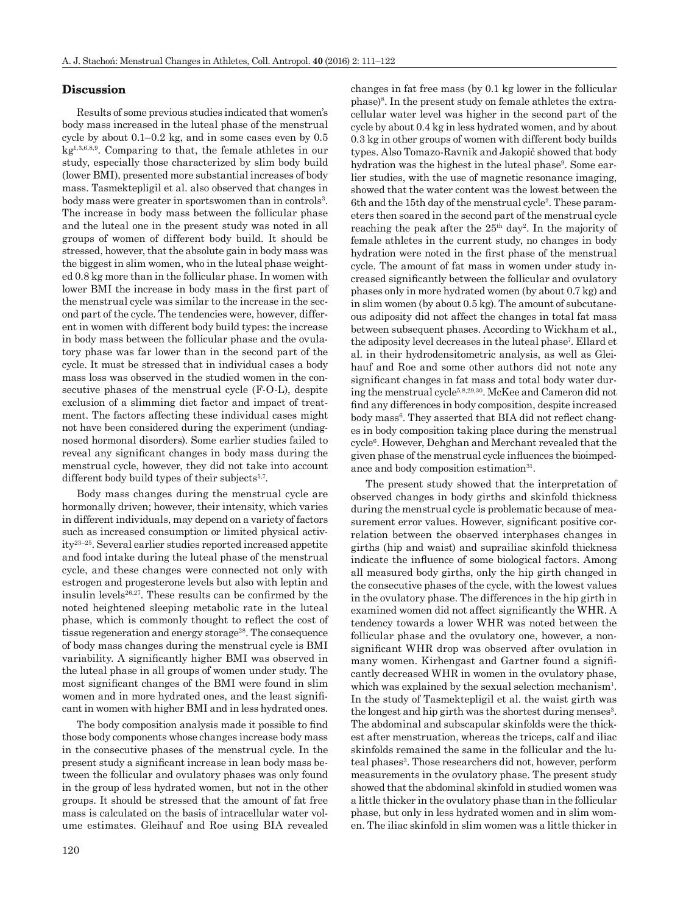#### **Discussion isc ussion**

Results of some previous studies indicated that women's body mass increased in the luteal phase of the menstrual cycle by about 0.1–0.2 kg, and in some cases even by 0.5 kg1,3,6,8,9. Comparing to that, the female athletes in our study, especially those characterized by slim body build (lower BMI), presented more substantial increases of body mass. Tasmektepligil et al. also observed that changes in body mass were greater in sportswomen than in controls<sup>3</sup>. The increase in body mass between the follicular phase and the luteal one in the present study was noted in all groups of women of different body build. It should be stressed, however, that the absolute gain in body mass was the biggest in slim women, who in the luteal phase weighted 0.8 kg more than in the follicular phase. In women with lower BMI the increase in body mass in the first part of the menstrual cycle was similar to the increase in the second part of the cycle. The tendencies were, however, different in women with different body build types: the increase in body mass between the follicular phase and the ovulatory phase was far lower than in the second part of the cycle. It must be stressed that in individual cases a body mass loss was observed in the studied women in the consecutive phases of the menstrual cycle (F-O-L), despite exclusion of a slimming diet factor and impact of treatment. The factors affecting these individual cases might not have been considered during the experiment (undiagnosed hormonal disorders). Some earlier studies failed to reveal any significant changes in body mass during the menstrual cycle, however, they did not take into account different body build types of their subjects<sup>5,7</sup>.

Body mass changes during the menstrual cycle are hormonally driven; however, their intensity, which varies in different individuals, may depend on a variety of factors such as increased consumption or limited physical activity23–25. Several earlier studies reported increased appetite and food intake during the luteal phase of the menstrual cycle, and these changes were connected not only with estrogen and progesterone levels but also with leptin and insulin levels $26,27$ . These results can be confirmed by the noted heightened sleeping metabolic rate in the luteal phase, which is commonly thought to reflect the cost of tissue regeneration and energy storage<sup>28</sup>. The consequence of body mass changes during the menstrual cycle is BMI variability. A significantly higher BMI was observed in the luteal phase in all groups of women under study. The most significant changes of the BMI were found in slim women and in more hydrated ones, and the least significant in women with higher BMI and in less hydrated ones.

The body composition analysis made it possible to find those body components whose changes increase body mass in the consecutive phases of the menstrual cycle. In the present study a significant increase in lean body mass between the follicular and ovulatory phases was only found in the group of less hydrated women, but not in the other groups. It should be stressed that the amount of fat free mass is calculated on the basis of intracellular water volume estimates. Gleihauf and Roe using BIA revealed

changes in fat free mass (by 0.1 kg lower in the follicular phase)8. In the present study on female athletes the extracellular water level was higher in the second part of the cycle by about 0.4 kg in less hydrated women, and by about 0.3 kg in other groups of women with different body builds types. Also Tomazo-Ravnik and Jakopič showed that body hydration was the highest in the luteal phase<sup>9</sup>. Some earlier studies, with the use of magnetic resonance imaging, showed that the water content was the lowest between the 6th and the 15th day of the menstrual cycle<sup>2</sup>. These parameters then soared in the second part of the menstrual cycle reaching the peak after the  $25<sup>th</sup>$  day<sup>2</sup>. In the majority of female athletes in the current study, no changes in body hydration were noted in the first phase of the menstrual cycle. The amount of fat mass in women under study increased significantly between the follicular and ovulatory phases only in more hydrated women (by about 0.7 kg) and in slim women (by about 0.5 kg). The amount of subcutaneous adiposity did not affect the changes in total fat mass between subsequent phases. According to Wickham et al., the adiposity level decreases in the luteal phase7. Ellard et al. in their hydrodensitometric analysis, as well as Gleihauf and Roe and some other authors did not note any significant changes in fat mass and total body water during the menstrual cycle5,8,29,30. McKee and Cameron did not find any differences in body composition, despite increased body mass<sup>6</sup>. They asserted that BIA did not reflect changes in body composition taking place during the menstrual cycle6. However, Dehghan and Merchant revealed that the given phase of the menstrual cycle influences the bioimpedance and body composition estimation<sup>31</sup>.

The present study showed that the interpretation of observed changes in body girths and skinfold thickness during the menstrual cycle is problematic because of measurement error values. However, significant positive correlation between the observed interphases changes in girths (hip and waist) and suprailiac skinfold thickness indicate the influence of some biological factors. Among all measured body girths, only the hip girth changed in the consecutive phases of the cycle, with the lowest values in the ovulatory phase. The differences in the hip girth in examined women did not affect significantly the WHR. A tendency towards a lower WHR was noted between the follicular phase and the ovulatory one, however, a nonsignificant WHR drop was observed after ovulation in many women. Kirhengast and Gartner found a significantly decreased WHR in women in the ovulatory phase, which was explained by the sexual selection mechanism<sup>1</sup>. In the study of Tasmektepligil et al. the waist girth was the longest and hip girth was the shortest during menses<sup>3</sup>. The abdominal and subscapular skinfolds were the thickest after menstruation, whereas the triceps, calf and iliac skinfolds remained the same in the follicular and the luteal phases<sup>3</sup>. Those researchers did not, however, perform measurements in the ovulatory phase. The present study showed that the abdominal skinfold in studied women was a little thicker in the ovulatory phase than in the follicular phase, but only in less hydrated women and in slim women. The iliac skinfold in slim women was a little thicker in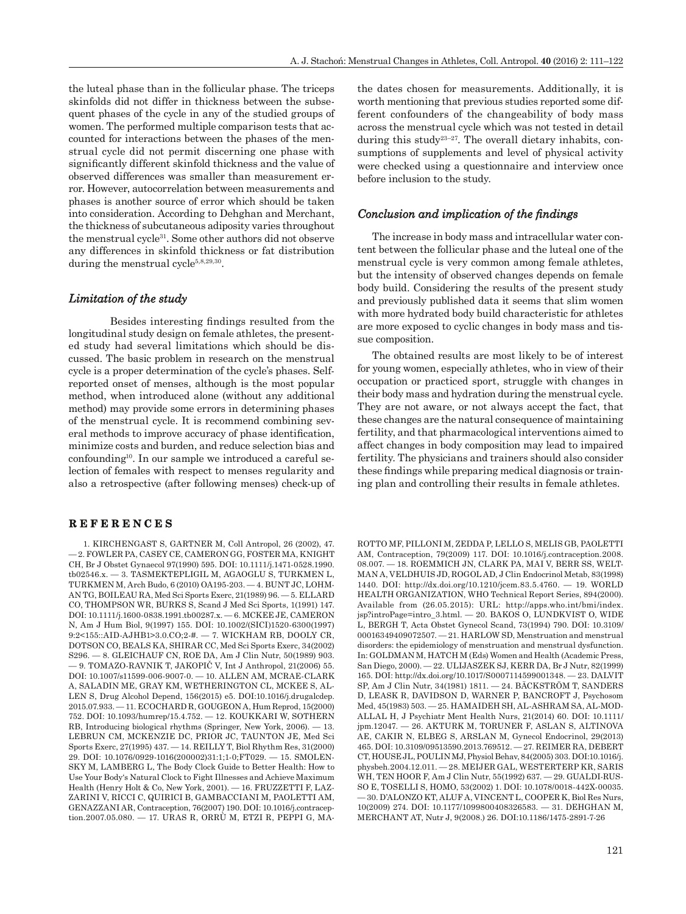the luteal phase than in the follicular phase. The triceps skinfolds did not differ in thickness between the subsequent phases of the cycle in any of the studied groups of women. The performed multiple comparison tests that accounted for interactions between the phases of the menstrual cycle did not permit discerning one phase with significantly different skinfold thickness and the value of observed differences was smaller than measurement error. However, autocorrelation between measurements and phases is another source of error which should be taken into consideration. According to Dehghan and Merchant, the thickness of subcutaneous adiposity varies throughout the menstrual cycle31. Some other authors did not observe any differences in skinfold thickness or fat distribution during the menstrual cycle<sup>5,8,29,30</sup>.

#### *Limitation of the study imitation*

Besides interesting findings resulted from the longitudinal study design on female athletes, the presented study had several limitations which should be discussed. The basic problem in research on the menstrual cycle is a proper determination of the cycle's phases. Selfreported onset of menses, although is the most popular method, when introduced alone (without any additional method) may provide some errors in determining phases of the menstrual cycle. It is recommend combining several methods to improve accuracy of phase identification, minimize costs and burden, and reduce selection bias and confounding10. In our sample we introduced a careful selection of females with respect to menses regularity and also a retrospective (after following menses) check-up of

#### **REFERENCES E F E R E N C E S**

1. KIRCHENGAST S, GARTNER M, Coll Antropol, 26 (2002), 47. — 2. FOWLER PA, CASEY CE, CAMERON GG, FOSTER MA, KNIGHT CH, Br J Obstet Gynaecol 97(1990) 595. DOI: 10.1111/j.1471-0528.1990. tb02546.x. — 3. TASMEKTEPLIGIL M, AGAOGLU S, TURKMEN L, TURKMEN M, Arch Budo, 6 (2010) OA195-203. — 4. BUNT JC, LOHM-AN TG, BOILEAU RA, Med Sci Sports Exerc, 21(1989) 96. — 5. ELLARD CO, THOMPSON WR, BURKS S, Scand J Med Sci Sports, 1(1991) 147. DOI: 10.1111/j.1600-0838.1991.tb00287.x. — 6. MCKEE JE, CAMERON N, Am J Hum Biol, 9(1997) 155. DOI: 10.1002/(SICI)1520-6300(1997) 9:2<155::AID-AJHB1>3.0.CO;2-#. — 7. WICKHAM RB, DOOLY CR, DOTSON CO, BEALS KA, SHIRAR CC, Med Sci Sports Exerc, 34(2002) S296. — 8. GLEICHAUF CN, ROE DA, Am J Clin Nutr, 50(1989) 903. — 9. TOMAZO-RAVNIK T, JAKOPIČ V, Int J Anthropol, 21(2006) 55. DOI: 10.1007/s11599-006-9007-0. — 10. ALLEN AM, MCRAE-CLARK A, SALADIN ME, GRAY KM, WETHERINGTON CL, MCKEE S, AL-LEN S, Drug Alcohol Depend, 156(2015) e5. DOI:10.1016/j.drugalcdep. 2015.07.933. — 11. ECOCHARD R, GOUGEON A, Hum Reprod, 15(2000) 752. DOI: 10.1093/humrep/15.4.752. — 12. KOUKKARI W, SOTHERN RB, Introducing biological rhythms (Springer, New York, 2006). — 13. LEBRUN CM, MCKENZIE DC, PRIOR JC, TAUNTON JE, Med Sci Sports Exerc, 27(1995) 437. — 14. REILLY T, Biol Rhythm Res, 31(2000) 29. DOI: 10.1076/0929-1016(200002)31:1;1-0;FT029. — 15. SMOLEN-SKY M, LAMBERG L, The Body Clock Guide to Better Health: How to Use Your Body's Natural Clock to Fight Illnesses and Achieve Maximum Health (Henry Holt & Co, New York, 2001). — 16. FRUZZETTI F, LAZ-ZARINI V, RICCI C, QUIRICI B, GAMBACCIANI M, PAOLETTI AM, GENAZZANI AR, Contraception, 76(2007) 190. DOI: 10.1016/j.contraception.2007.05.080. — 17. URAS R, ORRÙ M, ETZI R, PEPPI G, MA- the dates chosen for measurements. Additionally, it is worth mentioning that previous studies reported some different confounders of the changeability of body mass across the menstrual cycle which was not tested in detail during this study<sup>23-27</sup>. The overall dietary inhabits, consumptions of supplements and level of physical activity were checked using a questionnaire and interview once before inclusion to the study.

#### *Conclusion and implication of the findings*

The increase in body mass and intracellular water content between the follicular phase and the luteal one of the menstrual cycle is very common among female athletes, but the intensity of observed changes depends on female body build. Considering the results of the present study and previously published data it seems that slim women with more hydrated body build characteristic for athletes are more exposed to cyclic changes in body mass and tissue composition.

The obtained results are most likely to be of interest for young women, especially athletes, who in view of their occupation or practiced sport, struggle with changes in their body mass and hydration during the menstrual cycle. They are not aware, or not always accept the fact, that these changes are the natural consequence of maintaining fertility, and that pharmacological interventions aimed to affect changes in body composition may lead to impaired fertility. The physicians and trainers should also consider these findings while preparing medical diagnosis or training plan and controlling their results in female athletes.

```
ROTTO MF, PILLONI M, ZEDDA P, LELLO S, MELIS GB, PAOLETTI AM, Contraception, 79(2009) 117. DOI: 10.1016/j.contraception.2008. 08.007. — 18. ROEMMICH JN, CLARK PA, MAI V, BERR SS, WELT-
MAN A, VELDHUIS JD, ROGOL AD, J Clin Endocrinol Metab, 83(1998)<br>1440. DOI: http://dx.doi.org/10.1210/jcem.83.5.4760. — 19. WORLD<br>HEALTH ORGANIZATION, WHO Technical Report Series, 894(2000).<br>Available from (26.05.2015): UR
jsp?introPage=intro_3.html. — 20. BAKOS O, LUNDKVIST O, WIDE L, BERGH T, Acta Obstet Gynecol Scand, 73(1994) 790. DOI: 10.3109/00016349409072507. — 21. HARLOW SD, Menstruation and menstrual disorders: the epidemiology of 
ALLAL H, J Psychiatr Ment Health Nurs, 21(2014) 60. DOI: 10.1111/ jpm.12047. --- 26. AKTURK M, TORUNER F, ASLAN S, ALTINOVA AE, CAKIR N, ELBEG S, ARSLAN M, Gynecol Endocrinol, 29(2013)<br>465. DOI: 10.3109/09513590.2013.769512. --- 27. REIMER RA, DEBERT CT, HOUSE JL, POULINMJ, Physiol Behav
physbeh.2004.12.011. — 28. MEIJER GAL, WESTERTERP KR, SARIS WH, TEN HOOR F, Am J Clin Nutr, 55(1992) 637. — 29. GUALDI-RUS- - 30. D'ALONZO KT, ALUF A, VINCENT L, COOPER K, Biol Res Nurs, 10(2009) 274. DOI: 10.1177/1099800408326583. - 31. DEHGHAN M, MERCHANT AT, Nutr J, 9(2008.) 26. DOI:10.1186/1475-2891-7-26
```